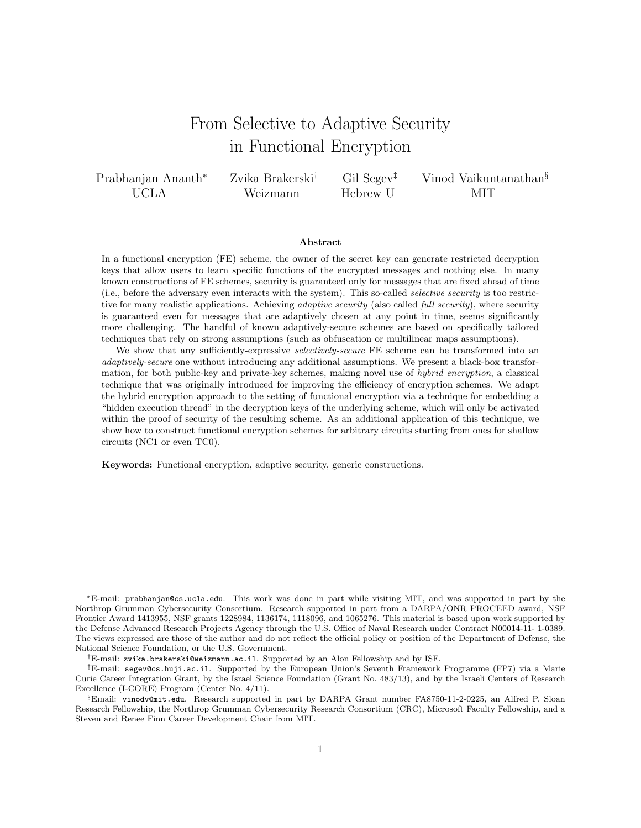# From Selective to Adaptive Security in Functional Encryption

Prabhanjan Ananth<sup>∗</sup> UCLA

Weizmann

Zvika Brakerski† Gil Segev‡ Hebrew U

Vinod Vaikuntanathan§ **MIT** 

#### Abstract

In a functional encryption (FE) scheme, the owner of the secret key can generate restricted decryption keys that allow users to learn specific functions of the encrypted messages and nothing else. In many known constructions of FE schemes, security is guaranteed only for messages that are fixed ahead of time (i.e., before the adversary even interacts with the system). This so-called selective security is too restrictive for many realistic applications. Achieving *adaptive security* (also called *full security*), where security is guaranteed even for messages that are adaptively chosen at any point in time, seems significantly more challenging. The handful of known adaptively-secure schemes are based on specifically tailored techniques that rely on strong assumptions (such as obfuscation or multilinear maps assumptions).

We show that any sufficiently-expressive *selectively-secure* FE scheme can be transformed into an adaptively-secure one without introducing any additional assumptions. We present a black-box transformation, for both public-key and private-key schemes, making novel use of hybrid encryption, a classical technique that was originally introduced for improving the efficiency of encryption schemes. We adapt the hybrid encryption approach to the setting of functional encryption via a technique for embedding a "hidden execution thread" in the decryption keys of the underlying scheme, which will only be activated within the proof of security of the resulting scheme. As an additional application of this technique, we show how to construct functional encryption schemes for arbitrary circuits starting from ones for shallow circuits (NC1 or even TC0).

Keywords: Functional encryption, adaptive security, generic constructions.

<sup>∗</sup>E-mail: prabhanjan@cs.ucla.edu. This work was done in part while visiting MIT, and was supported in part by the Northrop Grumman Cybersecurity Consortium. Research supported in part from a DARPA/ONR PROCEED award, NSF Frontier Award 1413955, NSF grants 1228984, 1136174, 1118096, and 1065276. This material is based upon work supported by the Defense Advanced Research Projects Agency through the U.S. Office of Naval Research under Contract N00014-11- 1-0389. The views expressed are those of the author and do not reflect the official policy or position of the Department of Defense, the National Science Foundation, or the U.S. Government.

<sup>&</sup>lt;sup>†</sup>E-mail: zvika.brakerski@weizmann.ac.il. Supported by an Alon Fellowship and by ISF.

<sup>‡</sup>E-mail: segev@cs.huji.ac.il. Supported by the European Union's Seventh Framework Programme (FP7) via a Marie Curie Career Integration Grant, by the Israel Science Foundation (Grant No. 483/13), and by the Israeli Centers of Research Excellence (I-CORE) Program (Center No. 4/11).

<sup>§</sup>Email: vinodv@mit.edu. Research supported in part by DARPA Grant number FA8750-11-2-0225, an Alfred P. Sloan Research Fellowship, the Northrop Grumman Cybersecurity Research Consortium (CRC), Microsoft Faculty Fellowship, and a Steven and Renee Finn Career Development Chair from MIT.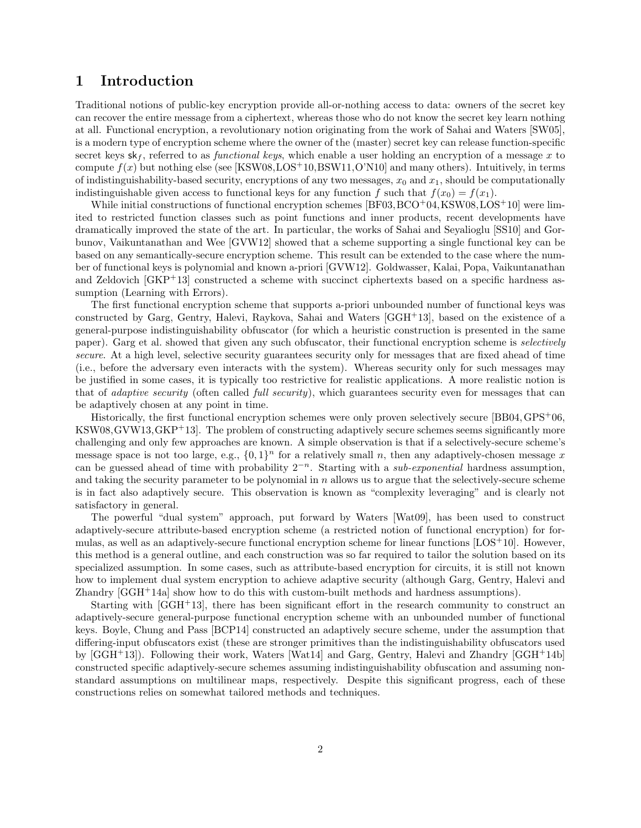### 1 Introduction

Traditional notions of public-key encryption provide all-or-nothing access to data: owners of the secret key can recover the entire message from a ciphertext, whereas those who do not know the secret key learn nothing at all. Functional encryption, a revolutionary notion originating from the work of Sahai and Waters [SW05], is a modern type of encryption scheme where the owner of the (master) secret key can release function-specific secret keys  $sk_f$ , referred to as *functional keys*, which enable a user holding an encryption of a message x to compute  $f(x)$  but nothing else (see [KSW08,LOS<sup>+</sup>10,BSW11,O'N10] and many others). Intuitively, in terms of indistinguishability-based security, encryptions of any two messages,  $x_0$  and  $x_1$ , should be computationally indistinguishable given access to functional keys for any function f such that  $f(x_0) = f(x_1)$ .

While initial constructions of functional encryption schemes  $[BF03, BCO<sup>+</sup>04, KSW08, LOS<sup>+</sup>10]$  were limited to restricted function classes such as point functions and inner products, recent developments have dramatically improved the state of the art. In particular, the works of Sahai and Seyalioglu [SS10] and Gorbunov, Vaikuntanathan and Wee [GVW12] showed that a scheme supporting a single functional key can be based on any semantically-secure encryption scheme. This result can be extended to the case where the number of functional keys is polynomial and known a-priori [GVW12]. Goldwasser, Kalai, Popa, Vaikuntanathan and Zeldovich [GKP+13] constructed a scheme with succinct ciphertexts based on a specific hardness assumption (Learning with Errors).

The first functional encryption scheme that supports a-priori unbounded number of functional keys was constructed by Garg, Gentry, Halevi, Raykova, Sahai and Waters [GGH+13], based on the existence of a general-purpose indistinguishability obfuscator (for which a heuristic construction is presented in the same paper). Garg et al. showed that given any such obfuscator, their functional encryption scheme is selectively secure. At a high level, selective security guarantees security only for messages that are fixed ahead of time (i.e., before the adversary even interacts with the system). Whereas security only for such messages may be justified in some cases, it is typically too restrictive for realistic applications. A more realistic notion is that of *adaptive security* (often called *full security*), which guarantees security even for messages that can be adaptively chosen at any point in time.

Historically, the first functional encryption schemes were only proven selectively secure [BB04, GPS+06, KSW08,GVW13,GKP<sup>+</sup>13. The problem of constructing adaptively secure schemes seems significantly more challenging and only few approaches are known. A simple observation is that if a selectively-secure scheme's message space is not too large, e.g.,  $\{0,1\}^n$  for a relatively small n, then any adaptively-chosen message x can be guessed ahead of time with probability  $2^{-n}$ . Starting with a *sub-exponential* hardness assumption, and taking the security parameter to be polynomial in  $n$  allows us to argue that the selectively-secure scheme is in fact also adaptively secure. This observation is known as "complexity leveraging" and is clearly not satisfactory in general.

The powerful "dual system" approach, put forward by Waters [Wat09], has been used to construct adaptively-secure attribute-based encryption scheme (a restricted notion of functional encryption) for formulas, as well as an adaptively-secure functional encryption scheme for linear functions  $[LOS<sup>+</sup>10]$ . However, this method is a general outline, and each construction was so far required to tailor the solution based on its specialized assumption. In some cases, such as attribute-based encryption for circuits, it is still not known how to implement dual system encryption to achieve adaptive security (although Garg, Gentry, Halevi and Zhandry [GGH<sup>+</sup>14a] show how to do this with custom-built methods and hardness assumptions).

Starting with  $[GGH^+13]$ , there has been significant effort in the research community to construct an adaptively-secure general-purpose functional encryption scheme with an unbounded number of functional keys. Boyle, Chung and Pass [BCP14] constructed an adaptively secure scheme, under the assumption that differing-input obfuscators exist (these are stronger primitives than the indistinguishability obfuscators used by [GGH<sup>+</sup>13]). Following their work, Waters [Wat14] and Garg, Gentry, Halevi and Zhandry [GGH<sup>+</sup>14b] constructed specific adaptively-secure schemes assuming indistinguishability obfuscation and assuming nonstandard assumptions on multilinear maps, respectively. Despite this significant progress, each of these constructions relies on somewhat tailored methods and techniques.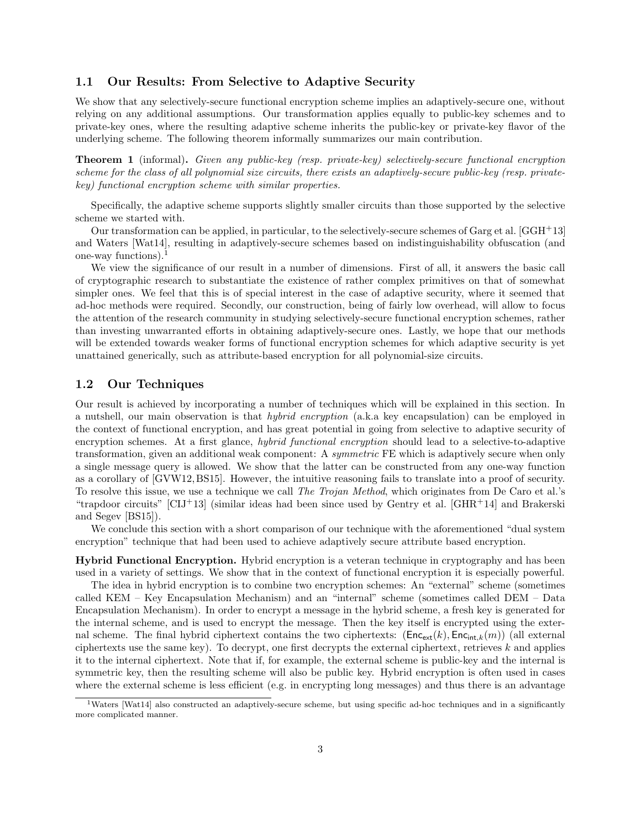### 1.1 Our Results: From Selective to Adaptive Security

We show that any selectively-secure functional encryption scheme implies an adaptively-secure one, without relying on any additional assumptions. Our transformation applies equally to public-key schemes and to private-key ones, where the resulting adaptive scheme inherits the public-key or private-key flavor of the underlying scheme. The following theorem informally summarizes our main contribution.

Theorem 1 (informal). Given any public-key (resp. private-key) selectively-secure functional encryption scheme for the class of all polynomial size circuits, there exists an adaptively-secure public-key (resp. privatekey) functional encryption scheme with similar properties.

Specifically, the adaptive scheme supports slightly smaller circuits than those supported by the selective scheme we started with.

Our transformation can be applied, in particular, to the selectively-secure schemes of Garg et al. [GGH+13] and Waters [Wat14], resulting in adaptively-secure schemes based on indistinguishability obfuscation (and one-way functions). $<sup>1</sup>$ </sup>

We view the significance of our result in a number of dimensions. First of all, it answers the basic call of cryptographic research to substantiate the existence of rather complex primitives on that of somewhat simpler ones. We feel that this is of special interest in the case of adaptive security, where it seemed that ad-hoc methods were required. Secondly, our construction, being of fairly low overhead, will allow to focus the attention of the research community in studying selectively-secure functional encryption schemes, rather than investing unwarranted efforts in obtaining adaptively-secure ones. Lastly, we hope that our methods will be extended towards weaker forms of functional encryption schemes for which adaptive security is yet unattained generically, such as attribute-based encryption for all polynomial-size circuits.

### 1.2 Our Techniques

Our result is achieved by incorporating a number of techniques which will be explained in this section. In a nutshell, our main observation is that hybrid encryption (a.k.a key encapsulation) can be employed in the context of functional encryption, and has great potential in going from selective to adaptive security of encryption schemes. At a first glance, hybrid functional encryption should lead to a selective-to-adaptive transformation, given an additional weak component: A symmetric FE which is adaptively secure when only a single message query is allowed. We show that the latter can be constructed from any one-way function as a corollary of [GVW12, BS15]. However, the intuitive reasoning fails to translate into a proof of security. To resolve this issue, we use a technique we call The Trojan Method, which originates from De Caro et al.'s "trapdoor circuits"  $\text{[CII]}^{+13}$  (similar ideas had been since used by Gentry et al.  $\text{[GHR]}^{+14}$  and Brakerski and Segev [BS15]).

We conclude this section with a short comparison of our technique with the aforementioned "dual system encryption" technique that had been used to achieve adaptively secure attribute based encryption.

Hybrid Functional Encryption. Hybrid encryption is a veteran technique in cryptography and has been used in a variety of settings. We show that in the context of functional encryption it is especially powerful.

The idea in hybrid encryption is to combine two encryption schemes: An "external" scheme (sometimes called KEM – Key Encapsulation Mechanism) and an "internal" scheme (sometimes called DEM – Data Encapsulation Mechanism). In order to encrypt a message in the hybrid scheme, a fresh key is generated for the internal scheme, and is used to encrypt the message. Then the key itself is encrypted using the external scheme. The final hybrid ciphertext contains the two ciphertexts:  $(\text{Enc}_{ext}(k), \text{Enc}_{int,k}(m))$  (all external ciphertexts use the same key). To decrypt, one first decrypts the external ciphertext, retrieves  $k$  and applies it to the internal ciphertext. Note that if, for example, the external scheme is public-key and the internal is symmetric key, then the resulting scheme will also be public key. Hybrid encryption is often used in cases where the external scheme is less efficient (e.g. in encrypting long messages) and thus there is an advantage

<sup>&</sup>lt;sup>1</sup>Waters [Wat14] also constructed an adaptively-secure scheme, but using specific ad-hoc techniques and in a significantly more complicated manner.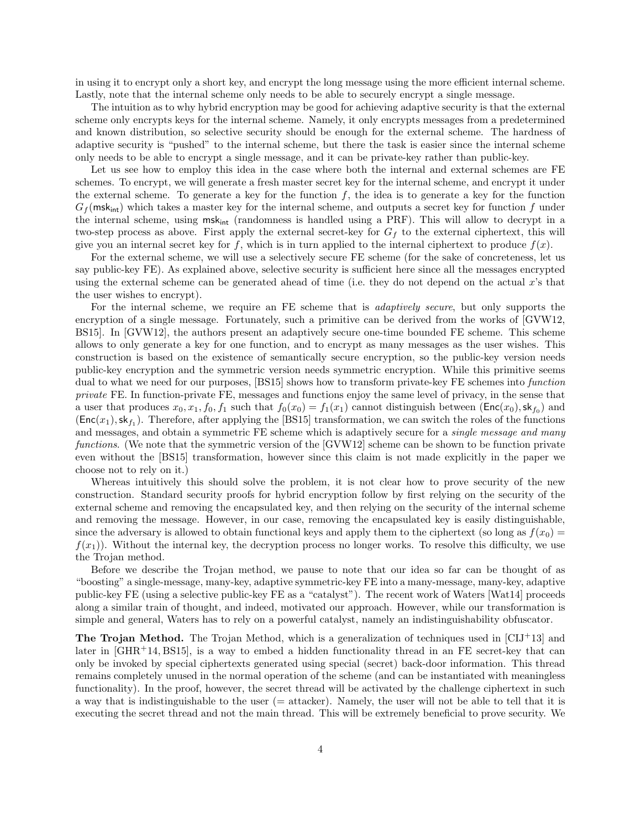in using it to encrypt only a short key, and encrypt the long message using the more efficient internal scheme. Lastly, note that the internal scheme only needs to be able to securely encrypt a single message.

The intuition as to why hybrid encryption may be good for achieving adaptive security is that the external scheme only encrypts keys for the internal scheme. Namely, it only encrypts messages from a predetermined and known distribution, so selective security should be enough for the external scheme. The hardness of adaptive security is "pushed" to the internal scheme, but there the task is easier since the internal scheme only needs to be able to encrypt a single message, and it can be private-key rather than public-key.

Let us see how to employ this idea in the case where both the internal and external schemes are FE schemes. To encrypt, we will generate a fresh master secret key for the internal scheme, and encrypt it under the external scheme. To generate a key for the function  $f$ , the idea is to generate a key for the function  $G_f$ (msk<sub>int</sub>) which takes a master key for the internal scheme, and outputs a secret key for function f under the internal scheme, using  $\text{msk}_{\text{int}}$  (randomness is handled using a PRF). This will allow to decrypt in a two-step process as above. First apply the external secret-key for  $G_f$  to the external ciphertext, this will give you an internal secret key for f, which is in turn applied to the internal ciphertext to produce  $f(x)$ .

For the external scheme, we will use a selectively secure FE scheme (for the sake of concreteness, let us say public-key FE). As explained above, selective security is sufficient here since all the messages encrypted using the external scheme can be generated ahead of time (i.e. they do not depend on the actual x's that the user wishes to encrypt).

For the internal scheme, we require an FE scheme that is *adaptively secure*, but only supports the encryption of a single message. Fortunately, such a primitive can be derived from the works of [GVW12, BS15]. In [GVW12], the authors present an adaptively secure one-time bounded FE scheme. This scheme allows to only generate a key for one function, and to encrypt as many messages as the user wishes. This construction is based on the existence of semantically secure encryption, so the public-key version needs public-key encryption and the symmetric version needs symmetric encryption. While this primitive seems dual to what we need for our purposes, [BS15] shows how to transform private-key FE schemes into function private FE. In function-private FE, messages and functions enjoy the same level of privacy, in the sense that a user that produces  $x_0, x_1, f_0, f_1$  such that  $f_0(x_0) = f_1(x_1)$  cannot distinguish between  $(\text{Enc}(x_0), \text{sk}_{f_0})$  and  $(Enc(x_1), sk_{f_1})$ . Therefore, after applying the [BS15] transformation, we can switch the roles of the functions and messages, and obtain a symmetric FE scheme which is adaptively secure for a *single message and many* functions. (We note that the symmetric version of the [GVW12] scheme can be shown to be function private even without the [BS15] transformation, however since this claim is not made explicitly in the paper we choose not to rely on it.)

Whereas intuitively this should solve the problem, it is not clear how to prove security of the new construction. Standard security proofs for hybrid encryption follow by first relying on the security of the external scheme and removing the encapsulated key, and then relying on the security of the internal scheme and removing the message. However, in our case, removing the encapsulated key is easily distinguishable, since the adversary is allowed to obtain functional keys and apply them to the ciphertext (so long as  $f(x_0)$ )  $f(x_1)$ ). Without the internal key, the decryption process no longer works. To resolve this difficulty, we use the Trojan method.

Before we describe the Trojan method, we pause to note that our idea so far can be thought of as "boosting" a single-message, many-key, adaptive symmetric-key FE into a many-message, many-key, adaptive public-key FE (using a selective public-key FE as a "catalyst"). The recent work of Waters [Wat14] proceeds along a similar train of thought, and indeed, motivated our approach. However, while our transformation is simple and general, Waters has to rely on a powerful catalyst, namely an indistinguishability obfuscator.

**The Trojan Method.** The Trojan Method, which is a generalization of techniques used in  $\left[CIJ+13\right]$  and later in  $\lbrack \text{GHR}^+14, \text{BS15} \rbrack$ , is a way to embed a hidden functionality thread in an FE secret-key that can only be invoked by special ciphertexts generated using special (secret) back-door information. This thread remains completely unused in the normal operation of the scheme (and can be instantiated with meaningless functionality). In the proof, however, the secret thread will be activated by the challenge ciphertext in such a way that is indistinguishable to the user (= attacker). Namely, the user will not be able to tell that it is executing the secret thread and not the main thread. This will be extremely beneficial to prove security. We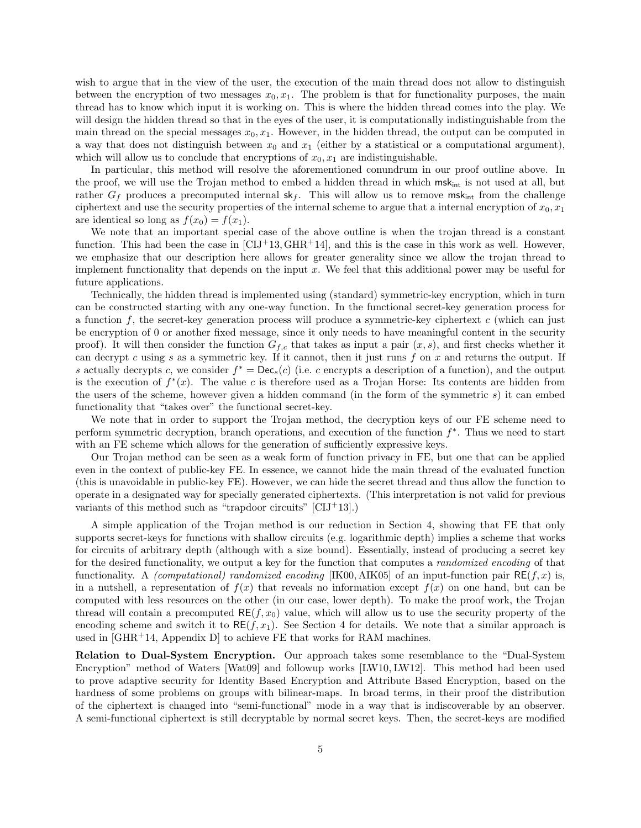wish to argue that in the view of the user, the execution of the main thread does not allow to distinguish between the encryption of two messages  $x_0, x_1$ . The problem is that for functionality purposes, the main thread has to know which input it is working on. This is where the hidden thread comes into the play. We will design the hidden thread so that in the eyes of the user, it is computationally indistinguishable from the main thread on the special messages  $x_0, x_1$ . However, in the hidden thread, the output can be computed in a way that does not distinguish between  $x_0$  and  $x_1$  (either by a statistical or a computational argument), which will allow us to conclude that encryptions of  $x_0, x_1$  are indistinguishable.

In particular, this method will resolve the aforementioned conundrum in our proof outline above. In the proof, we will use the Trojan method to embed a hidden thread in which msk<sub>int</sub> is not used at all, but rather  $G_f$  produces a precomputed internal  $sk_f$ . This will allow us to remove  $msk_{int}$  from the challenge ciphertext and use the security properties of the internal scheme to argue that a internal encryption of  $x_0, x_1$ are identical so long as  $f(x_0) = f(x_1)$ .

We note that an important special case of the above outline is when the trojan thread is a constant function. This had been the case in  $\left[CIJ^{+}13, GHR^{+}14\right]$ , and this is the case in this work as well. However, we emphasize that our description here allows for greater generality since we allow the trojan thread to implement functionality that depends on the input  $x$ . We feel that this additional power may be useful for future applications.

Technically, the hidden thread is implemented using (standard) symmetric-key encryption, which in turn can be constructed starting with any one-way function. In the functional secret-key generation process for a function f, the secret-key generation process will produce a symmetric-key ciphertext c (which can just be encryption of 0 or another fixed message, since it only needs to have meaningful content in the security proof). It will then consider the function  $G_{f,c}$  that takes as input a pair  $(x, s)$ , and first checks whether it can decrypt c using s as a symmetric key. If it cannot, then it just runs f on x and returns the output. If s actually decrypts c, we consider  $f^* = \text{Dec}_s(c)$  (i.e. c encrypts a description of a function), and the output is the execution of  $f^*(x)$ . The value c is therefore used as a Trojan Horse: Its contents are hidden from the users of the scheme, however given a hidden command (in the form of the symmetric  $s$ ) it can embed functionality that "takes over" the functional secret-key.

We note that in order to support the Trojan method, the decryption keys of our FE scheme need to perform symmetric decryption, branch operations, and execution of the function  $f^*$ . Thus we need to start with an FE scheme which allows for the generation of sufficiently expressive keys.

Our Trojan method can be seen as a weak form of function privacy in FE, but one that can be applied even in the context of public-key FE. In essence, we cannot hide the main thread of the evaluated function (this is unavoidable in public-key FE). However, we can hide the secret thread and thus allow the function to operate in a designated way for specially generated ciphertexts. (This interpretation is not valid for previous variants of this method such as "trapdoor circuits" [CIJ+13].)

A simple application of the Trojan method is our reduction in Section 4, showing that FE that only supports secret-keys for functions with shallow circuits (e.g. logarithmic depth) implies a scheme that works for circuits of arbitrary depth (although with a size bound). Essentially, instead of producing a secret key for the desired functionality, we output a key for the function that computes a *randomized encoding* of that functionality. A *(computational) randomized encoding* [IK00, AIK05] of an input-function pair  $RE(f, x)$  is, in a nutshell, a representation of  $f(x)$  that reveals no information except  $f(x)$  on one hand, but can be computed with less resources on the other (in our case, lower depth). To make the proof work, the Trojan thread will contain a precomputed  $RE(f, x_0)$  value, which will allow us to use the security property of the encoding scheme and switch it to  $RE(f, x_1)$ . See Section 4 for details. We note that a similar approach is used in  $[GHR+14, Appendix D]$  to achieve FE that works for RAM machines.

Relation to Dual-System Encryption. Our approach takes some resemblance to the "Dual-System Encryption" method of Waters [Wat09] and followup works [LW10, LW12]. This method had been used to prove adaptive security for Identity Based Encryption and Attribute Based Encryption, based on the hardness of some problems on groups with bilinear-maps. In broad terms, in their proof the distribution of the ciphertext is changed into "semi-functional" mode in a way that is indiscoverable by an observer. A semi-functional ciphertext is still decryptable by normal secret keys. Then, the secret-keys are modified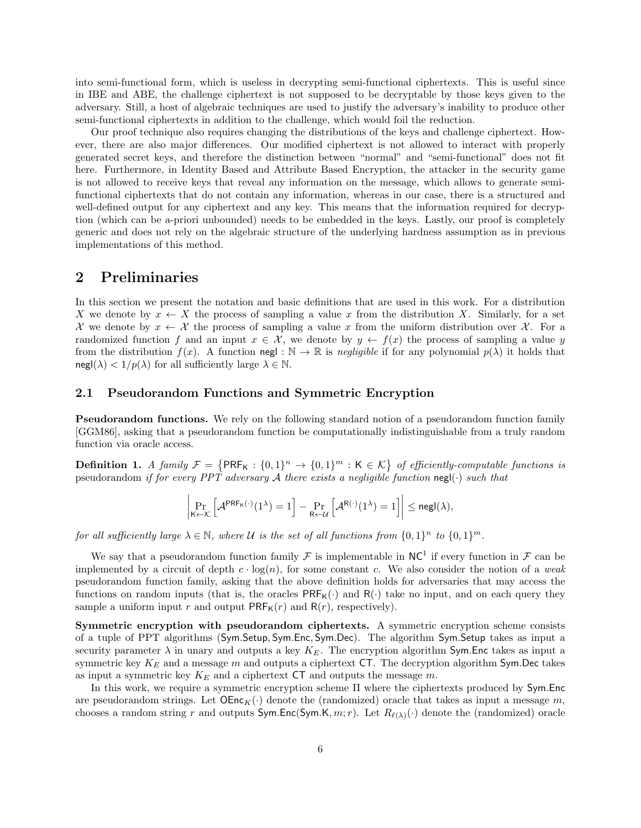into semi-functional form, which is useless in decrypting semi-functional ciphertexts. This is useful since in IBE and ABE, the challenge ciphertext is not supposed to be decryptable by those keys given to the adversary. Still, a host of algebraic techniques are used to justify the adversary's inability to produce other semi-functional ciphertexts in addition to the challenge, which would foil the reduction.

Our proof technique also requires changing the distributions of the keys and challenge ciphertext. However, there are also major differences. Our modified ciphertext is not allowed to interact with properly generated secret keys, and therefore the distinction between "normal" and "semi-functional" does not fit here. Furthermore, in Identity Based and Attribute Based Encryption, the attacker in the security game is not allowed to receive keys that reveal any information on the message, which allows to generate semifunctional ciphertexts that do not contain any information, whereas in our case, there is a structured and well-defined output for any ciphertext and any key. This means that the information required for decryption (which can be a-priori unbounded) needs to be embedded in the keys. Lastly, our proof is completely generic and does not rely on the algebraic structure of the underlying hardness assumption as in previous implementations of this method.

### 2 Preliminaries

In this section we present the notation and basic definitions that are used in this work. For a distribution X we denote by  $x \leftarrow X$  the process of sampling a value x from the distribution X. Similarly, for a set X we denote by  $x \leftarrow \mathcal{X}$  the process of sampling a value x from the uniform distribution over X. For a randomized function f and an input  $x \in \mathcal{X}$ , we denote by  $y \leftarrow f(x)$  the process of sampling a value y from the distribution  $f(x)$ . A function negl :  $\mathbb{N} \to \mathbb{R}$  is *negligible* if for any polynomial  $p(\lambda)$  it holds that  $\text{negl}(\lambda) < 1/p(\lambda)$  for all sufficiently large  $\lambda \in \mathbb{N}$ .

### 2.1 Pseudorandom Functions and Symmetric Encryption

Pseudorandom functions. We rely on the following standard notion of a pseudorandom function family [GGM86], asking that a pseudorandom function be computationally indistinguishable from a truly random function via oracle access.

**Definition 1.** A family  $\mathcal{F} = \{PRF_K : \{0,1\}^n \to \{0,1\}^m : K \in \mathcal{K}\}\$  of efficiently-computable functions is pseudorandom if for every PPT adversary A there exists a negligible function negl( $\cdot$ ) such that

$$
\left|\Pr_{\mathsf{K} \gets \mathcal{K}}\left[\mathcal{A}^{\mathsf{PRF}_{\mathsf{K}}(\cdot)}(1^{\lambda}) = 1\right] - \Pr_{\mathsf{R} \gets \mathcal{U}}\left[\mathcal{A}^{\mathsf{R}(\cdot)}(1^{\lambda}) = 1\right]\right| \leq \mathsf{negl}(\lambda),
$$

for all sufficiently large  $\lambda \in \mathbb{N}$ , where U is the set of all functions from  $\{0,1\}^n$  to  $\{0,1\}^m$ .

We say that a pseudorandom function family  $\mathcal F$  is implementable in NC<sup>1</sup> if every function in  $\mathcal F$  can be implemented by a circuit of depth  $c \cdot \log(n)$ , for some constant c. We also consider the notion of a weak pseudorandom function family, asking that the above definition holds for adversaries that may access the functions on random inputs (that is, the oracles  $PRF_K(\cdot)$  and  $R(\cdot)$  take no input, and on each query they sample a uniform input r and output  $PRF_K(r)$  and  $R(r)$ , respectively).

Symmetric encryption with pseudorandom ciphertexts. A symmetric encryption scheme consists of a tuple of PPT algorithms (Sym.Setup, Sym.Enc, Sym.Dec). The algorithm Sym.Setup takes as input a security parameter  $\lambda$  in unary and outputs a key  $K_E$ . The encryption algorithm Sym. Enc takes as input a symmetric key  $K_E$  and a message m and outputs a ciphertext CT. The decryption algorithm Sym.Dec takes as input a symmetric key  $K_E$  and a ciphertext CT and outputs the message m.

In this work, we require a symmetric encryption scheme Π where the ciphertexts produced by Sym.Enc are pseudorandom strings. Let  $OEnc_K(\cdot)$  denote the (randomized) oracle that takes as input a message m, chooses a random string r and outputs Sym.Enc(Sym.K, m; r). Let  $R_{\ell(\lambda)}(\cdot)$  denote the (randomized) oracle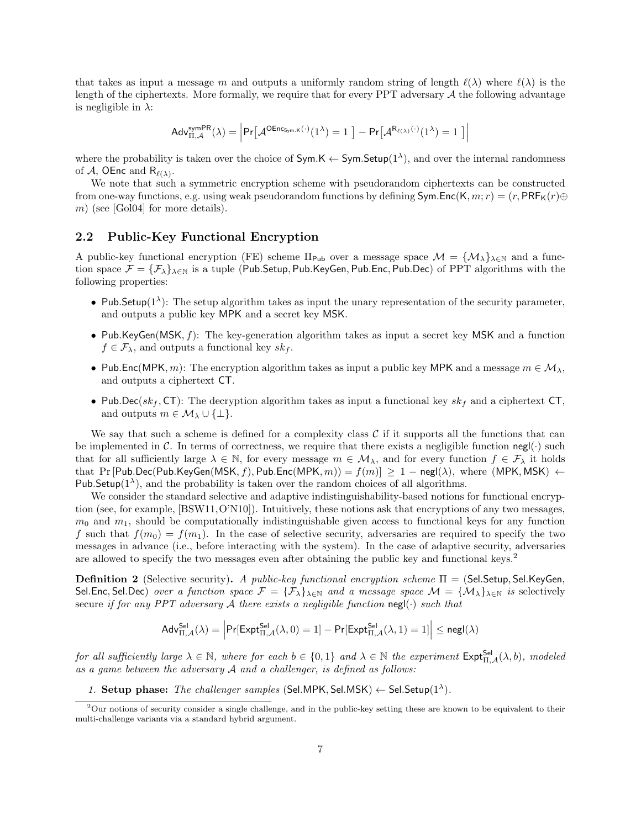that takes as input a message m and outputs a uniformly random string of length  $\ell(\lambda)$  where  $\ell(\lambda)$  is the length of the ciphertexts. More formally, we require that for every PPT adversary  $A$  the following advantage is negligible in  $\lambda$ :

$$
\mathsf{Adv}_{\Pi,\mathcal{A}}^{\mathsf{symPR}}(\lambda) = \Big|\mathsf{Pr}\big[\mathcal{A}^{\mathsf{OEnc}_{\mathsf{Sym}.\mathsf{K}}(\cdot)}(1^\lambda) = 1\ \big] - \mathsf{Pr}\big[\mathcal{A}^{\mathsf{R}_{\ell(\lambda)}(\cdot)}(1^\lambda) = 1\ \big]\Big|
$$

where the probability is taken over the choice of  $Sym.K \leftarrow Sym.Setup(1^{\lambda})$ , and over the internal randomness of A, OEnc and  $\mathsf{R}_{\ell(\lambda)}$ .

We note that such a symmetric encryption scheme with pseudorandom ciphertexts can be constructed from one-way functions, e.g. using weak pseudorandom functions by defining  $SymEnc(K, m; r) = (r, PRF<sub>K</sub>(r) \oplus$ m) (see [Gol04] for more details).

### 2.2 Public-Key Functional Encryption

A public-key functional encryption (FE) scheme  $\Pi_{\text{Pub}}$  over a message space  $\mathcal{M} = {\mathcal{M}}_{\lambda}$ ,  $\lambda \in \mathbb{N}$  and a function space  $\mathcal{F} = {\{\mathcal{F}_{\lambda}\}}_{\lambda \in \mathbb{N}}$  is a tuple (Pub.Setup, Pub.KeyGen, Pub.Enc, Pub.Dec) of PPT algorithms with the following properties:

- Pub. Setup( $1^{\lambda}$ ): The setup algorithm takes as input the unary representation of the security parameter, and outputs a public key MPK and a secret key MSK.
- Pub.KeyGen(MSK,  $f$ ): The key-generation algorithm takes as input a secret key MSK and a function  $f \in \mathcal{F}_{\lambda}$ , and outputs a functional key  $sk_f$ .
- Pub.Enc(MPK, m): The encryption algorithm takes as input a public key MPK and a message  $m \in \mathcal{M}_{\lambda}$ , and outputs a ciphertext CT.
- Pub.Dec(skf, CT): The decryption algorithm takes as input a functional key  $sk_f$  and a ciphertext CT, and outputs  $m \in \mathcal{M}_\lambda \cup \{\perp\}.$

We say that such a scheme is defined for a complexity class  $\mathcal C$  if it supports all the functions that can be implemented in C. In terms of correctness, we require that there exists a negligible function  $\text{negl}(\cdot)$  such that for all sufficiently large  $\lambda \in \mathbb{N}$ , for every message  $m \in \mathcal{M}_{\lambda}$ , and for every function  $f \in \mathcal{F}_{\lambda}$  it holds that Pr  $[Pub.Dec(Pub.KeyGen(MSK, f), Pub.Enc(MPK, m)) = f(m)] \ge 1 - negl(\lambda),$  where  $(MPK, MSK) \leftarrow$ Pub. Setup( $1^{\lambda}$ ), and the probability is taken over the random choices of all algorithms.

We consider the standard selective and adaptive indistinguishability-based notions for functional encryption (see, for example, [BSW11,O'N10]). Intuitively, these notions ask that encryptions of any two messages,  $m_0$  and  $m_1$ , should be computationally indistinguishable given access to functional keys for any function f such that  $f(m_0) = f(m_1)$ . In the case of selective security, adversaries are required to specify the two messages in advance (i.e., before interacting with the system). In the case of adaptive security, adversaries are allowed to specify the two messages even after obtaining the public key and functional keys.<sup>2</sup>

**Definition 2** (Selective security). A public-key functional encryption scheme  $\Pi =$  (Sel.Setup, Sel.KeyGen, Sel.Enc, Sel.Dec) over a function space  $\mathcal{F} = {\{\mathcal{F}_{\lambda}\}}_{\lambda \in \mathbb{N}}$  and a message space  $\mathcal{M} = {\{\mathcal{M}_{\lambda}\}}_{\lambda \in \mathbb{N}}$  is selectively secure if for any PPT adversary A there exists a negligible function negl( $\cdot$ ) such that

$$
\mathsf{Adv}_{\Pi,\mathcal{A}}^{\mathsf{Sel}}(\lambda) = \Big|\mathsf{Pr}[\mathsf{Expt}_{\Pi,\mathcal{A}}^{\mathsf{Sel}}(\lambda,0) = 1] - \mathsf{Pr}[\mathsf{Expt}_{\Pi,\mathcal{A}}^{\mathsf{Sel}}(\lambda,1) = 1] \Big| \leq \mathsf{negl}(\lambda)
$$

for all sufficiently large  $\lambda \in \mathbb{N}$ , where for each  $b \in \{0,1\}$  and  $\lambda \in \mathbb{N}$  the experiment  $\mathsf{Expt}^{\mathsf{Sel}}_{\Pi,\mathcal{A}}(\lambda,b)$ , modeled as a game between the adversary  $A$  and a challenger, is defined as follows:

1. Setup phase: The challenger samples (Sel.MPK, Sel.MSK)  $\leftarrow$  Sel.Setup(1<sup> $\lambda$ </sup>).

<sup>2</sup>Our notions of security consider a single challenge, and in the public-key setting these are known to be equivalent to their multi-challenge variants via a standard hybrid argument.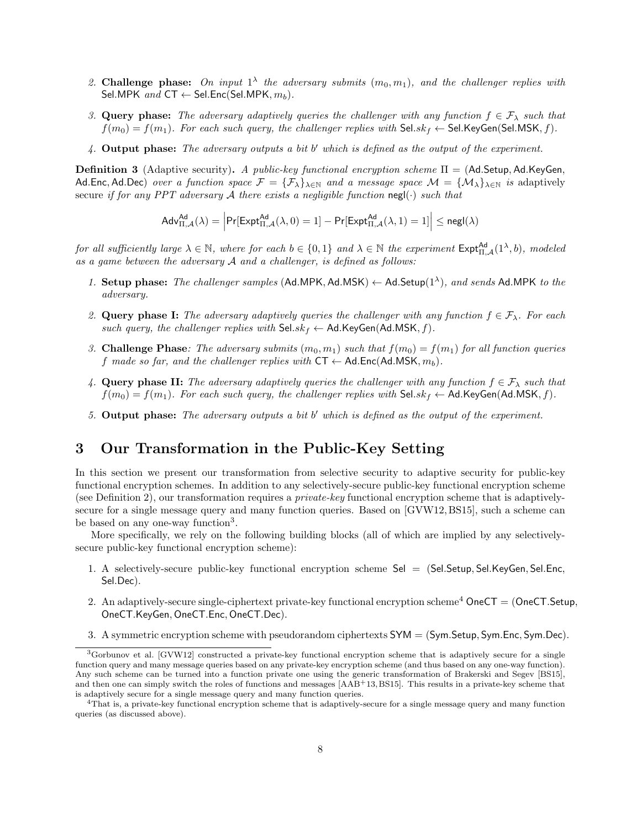- 2. Challenge phase: On input  $1^{\lambda}$  the adversary submits  $(m_0, m_1)$ , and the challenger replies with Sel.MPK and  $CT \leftarrow$  Sel.Enc(Sel.MPK,  $m_b$ ).
- 3. Query phase: The adversary adaptively queries the challenger with any function  $f \in \mathcal{F}_{\lambda}$  such that  $f(m_0) = f(m_1)$ . For each such query, the challenger replies with Sel.sk<sub>f</sub>  $\leftarrow$  Sel.KeyGen(Sel.MSK, f).
- 4. Output phase: The adversary outputs a bit  $b'$  which is defined as the output of the experiment.

**Definition 3** (Adaptive security). A public-key functional encryption scheme  $\Pi = (Ad.Setup, Ad.KeyGen,$ Ad.Enc, Ad.Dec) over a function space  $\mathcal{F} = {\{\mathcal{F}_{\lambda}\}}_{\lambda \in \mathbb{N}}$  and a message space  $\mathcal{M} = {\{\mathcal{M}_{\lambda}\}}_{\lambda \in \mathbb{N}}$  is adaptively secure if for any PPT adversary  $A$  there exists a negligible function negl( $\cdot$ ) such that

 $\mathsf{Adv}_{\Pi,\mathcal{A}}^{\mathsf{Ad}}(\lambda) = \left|\mathsf{Pr}[\mathsf{Expt}_{\Pi,\mathcal{A}}^{\mathsf{Ad}}(\lambda,0) = 1] - \mathsf{Pr}[\mathsf{Expt}_{\Pi,\mathcal{A}}^{\mathsf{Ad}}(\lambda,1) = 1] \right| \leq \mathsf{negl}(\lambda)$ 

for all sufficiently large  $\lambda \in \mathbb{N}$ , where for each  $b \in \{0,1\}$  and  $\lambda \in \mathbb{N}$  the experiment  $\mathsf{Expt}^{\mathsf{Ad}}_{\Pi,\mathcal{A}}(1^{\lambda},b)$ , modeled as a game between the adversary  $A$  and a challenger, is defined as follows:

- 1. Setup phase: The challenger samples (Ad.MPK, Ad.MSK)  $\leftarrow$  Ad.Setup(1<sup> $\lambda$ </sup>), and sends Ad.MPK to the adversary.
- 2. Query phase I: The adversary adaptively queries the challenger with any function  $f \in \mathcal{F}_{\lambda}$ . For each such query, the challenger replies with  $\mathsf{Sel}.sk_f \leftarrow \mathsf{Ad}.\mathsf{KeyGen}(\mathsf{Ad}.\mathsf{MSK}, f).$
- 3. Challenge Phase: The adversary submits  $(m_0, m_1)$  such that  $f(m_0) = f(m_1)$  for all function queries f made so far, and the challenger replies with  $CT \leftarrow Ad.Enc(Ad.MSK, m_b)$ .
- 4. Query phase II: The adversary adaptively queries the challenger with any function  $f \in \mathcal{F}_{\lambda}$  such that  $f(m_0) = f(m_1)$ . For each such query, the challenger replies with Sel.sk<sub>f</sub>  $\leftarrow$  Ad.KeyGen(Ad.MSK, f).
- 5. Output phase: The adversary outputs a bit b' which is defined as the output of the experiment.

### 3 Our Transformation in the Public-Key Setting

In this section we present our transformation from selective security to adaptive security for public-key functional encryption schemes. In addition to any selectively-secure public-key functional encryption scheme (see Definition 2), our transformation requires a private-key functional encryption scheme that is adaptivelysecure for a single message query and many function queries. Based on [GVW12, BS15], such a scheme can be based on any one-way function<sup>3</sup>.

More specifically, we rely on the following building blocks (all of which are implied by any selectivelysecure public-key functional encryption scheme):

- 1. A selectively-secure public-key functional encryption scheme Sel = (Sel.Setup, Sel.KeyGen, Sel.Enc, Sel.Dec).
- 2. An adaptively-secure single-ciphertext private-key functional encryption scheme<sup>4</sup>  $OneCT = (OneCT.$ Setup, OneCT.KeyGen, OneCT.Enc, OneCT.Dec).
- 3. A symmetric encryption scheme with pseudorandom ciphertexts SYM = (Sym.Setup, Sym.Enc, Sym.Dec).

<sup>3</sup>Gorbunov et al. [GVW12] constructed a private-key functional encryption scheme that is adaptively secure for a single function query and many message queries based on any private-key encryption scheme (and thus based on any one-way function). Any such scheme can be turned into a function private one using the generic transformation of Brakerski and Segev [BS15], and then one can simply switch the roles of functions and messages  $[AAB<sup>+</sup>13, BS15]$ . This results in a private-key scheme that is adaptively secure for a single message query and many function queries.

<sup>4</sup>That is, a private-key functional encryption scheme that is adaptively-secure for a single message query and many function queries (as discussed above).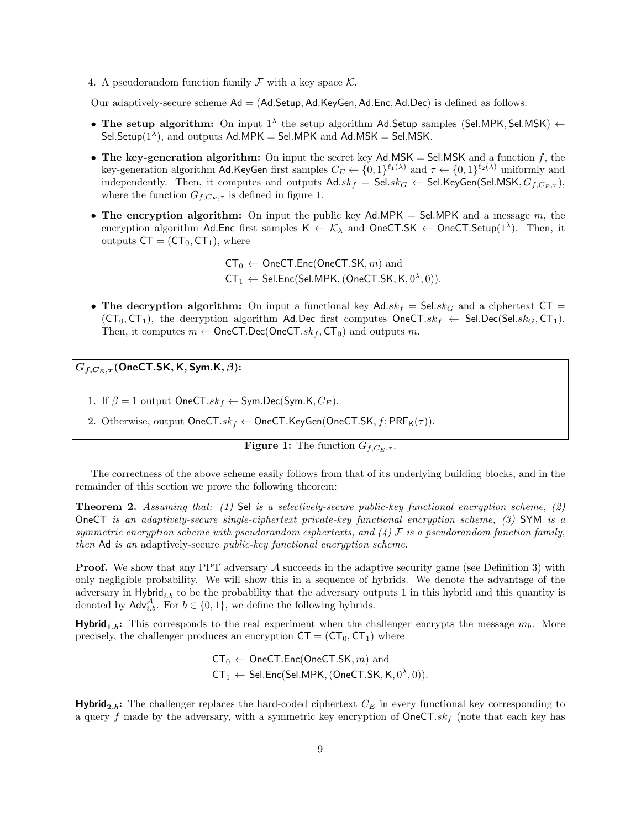4. A pseudorandom function family  $\mathcal F$  with a key space  $\mathcal K$ .

Our adaptively-secure scheme Ad = (Ad.Setup, Ad.KeyGen, Ad.Enc, Ad.Dec) is defined as follows.

- The setup algorithm: On input  $1^{\lambda}$  the setup algorithm Ad.Setup samples (Sel.MPK, Sel.MSK)  $\leftarrow$ Sel.Setup( $1^{\lambda}$ ), and outputs Ad.MPK = Sel.MPK and Ad.MSK = Sel.MSK.
- The key-generation algorithm: On input the secret key  $Ad.MSK = Sel.MSK$  and a function f, the key-generation algorithm Ad.KeyGen first samples  $C_E \leftarrow \{0,1\}^{\ell_1(\lambda)}$  and  $\tau \leftarrow \{0,1\}^{\ell_2(\lambda)}$  uniformly and independently. Then, it computes and outputs  $\mathsf{Ad}.sk_f = \mathsf{Sel}.sk_G \leftarrow \mathsf{Sel}.\mathsf{KeyGen}(\mathsf{Sel}.\mathsf{MSK}, G_{f,C_E,\tau}),$ where the function  $G_{f,C_E,\tau}$  is defined in figure 1.
- The encryption algorithm: On input the public key Ad.MPK = Sel.MPK and a message  $m$ , the encryption algorithm Ad.Enc first samples  $K \leftarrow \mathcal{K}_{\lambda}$  and OneCT.SK  $\leftarrow$  OneCT.Setup(1<sup> $\lambda$ </sup>). Then, it outputs  $CT = (CT_0, CT_1)$ , where

 $CT_0 \leftarrow$  OneCT.Enc(OneCT.SK, m) and  $CT_1 \leftarrow$  Sel.Enc(Sel.MPK, (OneCT.SK, K,  $0^{\lambda}, 0)$ ).

• The decryption algorithm: On input a functional key  $Ad.sk_f = Sel.sk_G$  and a ciphertext CT =  $(CT_0, CT_1)$ , the decryption algorithm Ad.Dec first computes OneCT. $sk_f \leftarrow$  Sel.Dec(Sel. $sk_G$ , CT<sub>1</sub>). Then, it computes  $m \leftarrow$  OneCT.Dec(OneCT.s $k_f$ , CT<sub>0</sub>) and outputs m.

 $G_{f,C_E,\tau}$ (OneCT.SK, K, Sym.K,  $\beta$ ):

1. If  $\beta = 1$  output OneCT.sk<sub>f</sub>  $\leftarrow$  Sym.Dec(Sym.K,  $C_E$ ).

2. Otherwise, output  $OneCT.sk_f \leftarrow OneCT.KeyGen(OneCT.SK, f; PRF<sub>K</sub>(\tau)).$ 

**Figure 1:** The function  $G_{f,C_E,\tau}$ .

The correctness of the above scheme easily follows from that of its underlying building blocks, and in the remainder of this section we prove the following theorem:

**Theorem 2.** Assuming that: (1) Sel is a selectively-secure public-key functional encryption scheme, (2) OneCT is an adaptively-secure single-ciphertext private-key functional encryption scheme, (3) SYM is a symmetric encryption scheme with pseudorandom ciphertexts, and  $(4)$  F is a pseudorandom function family, then Ad is an adaptively-secure public-key functional encryption scheme.

**Proof.** We show that any PPT adversary  $A$  succeeds in the adaptive security game (see Definition 3) with only negligible probability. We will show this in a sequence of hybrids. We denote the advantage of the adversary in Hybrid<sub>i</sub>, to be the probability that the adversary outputs 1 in this hybrid and this quantity is denoted by  $\mathsf{Adv}_{i,b}^{\mathcal{A}}$ . For  $b \in \{0,1\}$ , we define the following hybrids.

**Hybrid<sub>1.b</sub>:** This corresponds to the real experiment when the challenger encrypts the message  $m_b$ . More precisely, the challenger produces an encryption  $CT = (CT_0, CT_1)$  where

> $CT_0 \leftarrow$  OneCT.Enc(OneCT.SK, m) and  $\mathsf{CT}_1 \leftarrow \mathsf{Sel}.\mathsf{Enc}(\mathsf{Sel}.\mathsf{MPK}, (\mathsf{OneCT}.\mathsf{SK}, \mathsf{K}, 0^\lambda, 0)).$

**Hybrid<sub>2.b</sub>:** The challenger replaces the hard-coded ciphertext  $C_E$  in every functional key corresponding to a query f made by the adversary, with a symmetric key encryption of  $\text{OneCT}.sk_f$  (note that each key has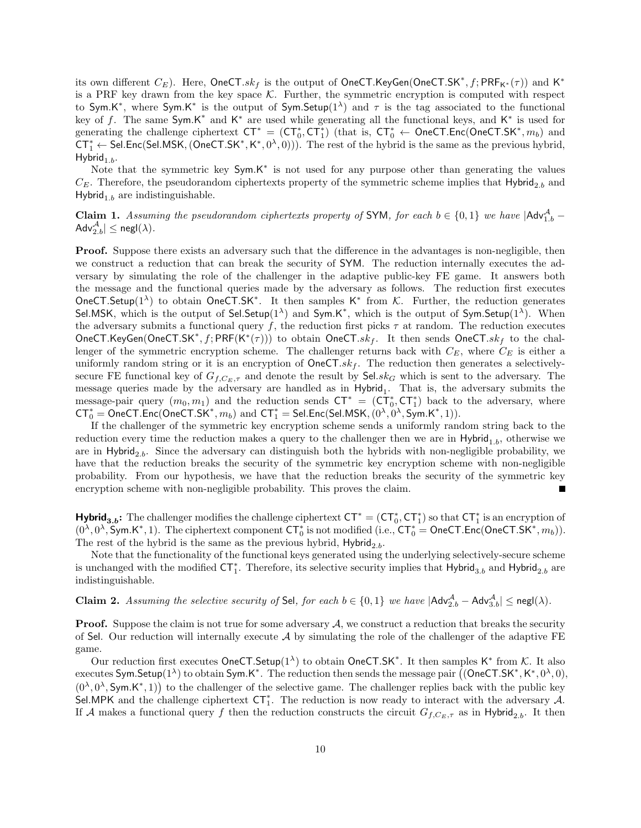its own different  $C_E$ ). Here, OneCT.s $k_f$  is the output of OneCT.KeyGen(OneCT.SK<sup>\*</sup>, f; PRF<sub>K\*</sub>( $\tau$ )) and K<sup>\*</sup> is a PRF key drawn from the key space  $K$ . Further, the symmetric encryption is computed with respect to Sym.K<sup>\*</sup>, where Sym.K<sup>\*</sup> is the output of Sym.Setup(1<sup> $\lambda$ </sup>) and  $\tau$  is the tag associated to the functional key of f. The same Sym.K<sup>\*</sup> and K<sup>\*</sup> are used while generating all the functional keys, and K<sup>\*</sup> is used for generating the challenge ciphertext  $CT^* = (CT_0^*, CT_1^*)$  (that is,  $CT_0^* \leftarrow$  OneCT.Enc(OneCT.SK<sup>\*</sup>,  $m_b$ ) and  $CT_1^* \leftarrow$  Sel.Enc(Sel.MSK, (OneCT.SK<sup>\*</sup>, K<sup>\*</sup>, 0<sup> $\lambda$ </sup>, 0))). The rest of the hybrid is the same as the previous hybrid, Hybrid $_{1.b}$ .

Note that the symmetric key Sym.K<sup>\*</sup> is not used for any purpose other than generating the values  $C_E$ . Therefore, the pseudorandom ciphertexts property of the symmetric scheme implies that Hybrid<sub>2.b</sub> and Hybrid<sub>1,b</sub> are indistinguishable.

Claim 1. Assuming the pseudorandom ciphertexts property of SYM, for each  $b \in \{0,1\}$  we have  $|\text{Adv}^{\mathcal{A}}_{1,b} \mathsf{Adv}_{2.b}^{\mathcal{A}} \vert \le \mathsf{negl}(\lambda).$ 

Proof. Suppose there exists an adversary such that the difference in the advantages is non-negligible, then we construct a reduction that can break the security of SYM. The reduction internally executes the adversary by simulating the role of the challenger in the adaptive public-key FE game. It answers both the message and the functional queries made by the adversary as follows. The reduction first executes OneCT.Setup( $1^{\lambda}$ ) to obtain OneCT.SK<sup>\*</sup>. It then samples K<sup>\*</sup> from K. Further, the reduction generates Sel.MSK, which is the output of Sel.Setup( $1^{\lambda}$ ) and Sym.K<sup>\*</sup>, which is the output of Sym.Setup( $1^{\lambda}$ ). When the adversary submits a functional query f, the reduction first picks  $\tau$  at random. The reduction executes OneCT.KeyGen(OneCT.SK<sup>\*</sup>, f; PRF(K<sup>\*</sup>( $\tau$ ))) to obtain OneCT.skf. It then sends OneCT.skf to the challenger of the symmetric encryption scheme. The challenger returns back with  $C_E$ , where  $C_E$  is either a uniformly random string or it is an encryption of  $OneCT.sk_f$ . The reduction then generates a selectivelysecure FE functional key of  $G_{f,C<sub>E,T</sub>}$  and denote the result by Sel.sk<sub>G</sub> which is sent to the adversary. The message queries made by the adversary are handled as in  $H$ ybrid<sub>1</sub>. That is, the adversary submits the message-pair query  $(m_0, m_1)$  and the reduction sends  $CT^* = (CT_0^*, CT_1^*)$  back to the adversary, where  $CT_0^* = \text{OneCT}.\text{Enc}(\text{OneCT}.\text{SK}^*, m_b) \text{ and } CT_1^* = \text{Sel}.\text{Enc}(\text{Sel}.\text{MSK}, (0^\lambda, 0^\lambda, \text{Sym}.\text{K}^*, 1)).$ 

If the challenger of the symmetric key encryption scheme sends a uniformly random string back to the reduction every time the reduction makes a query to the challenger then we are in  $\mathsf{Hybrid}_{1,b}$ , otherwise we are in Hybrid<sub>2</sub><sup>b</sup>. Since the adversary can distinguish both the hybrids with non-negligible probability, we have that the reduction breaks the security of the symmetric key encryption scheme with non-negligible probability. From our hypothesis, we have that the reduction breaks the security of the symmetric key encryption scheme with non-negligible probability. This proves the claim. Е

**Hybrid**<sub>3.b</sub>: The challenger modifies the challenge ciphertext  $CT^* = (CT_0^*, CT_1^*)$  so that  $CT_1^*$  is an encryption of  $(0^{\lambda}, 0^{\lambda}, Sym.K^*, 1)$ . The ciphertext component  $CT_0^*$  is not modified (i.e.,  $CT_0^* =$  OneCT.Enc(OneCT.SK<sup>\*</sup>, m<sub>b</sub>)). The rest of the hybrid is the same as the previous hybrid,  $Hybrid<sub>2.b</sub>$ .

Note that the functionality of the functional keys generated using the underlying selectively-secure scheme is unchanged with the modified  $\mathsf{CT}_1^*$ . Therefore, its selective security implies that  $\mathsf{Hybrid}_{3,b}$  and  $\mathsf{Hybrid}_{2,b}$  are indistinguishable.

**Claim 2.** Assuming the selective security of Sel, for each  $b \in \{0,1\}$  we have  $|\text{Adv}_{2.b}^{\mathcal{A}} - \text{Adv}_{3.b}^{\mathcal{A}}| \leq \text{negl}(\lambda)$ .

**Proof.** Suppose the claim is not true for some adversary  $A$ , we construct a reduction that breaks the security of Sel. Our reduction will internally execute  $A$  by simulating the role of the challenger of the adaptive FE game.

Our reduction first executes OneCT.Setup( $1^{\lambda}$ ) to obtain OneCT.SK<sup>\*</sup>. It then samples K<sup>\*</sup> from K. It also executes Sym. Setup(1<sup> $\lambda$ </sup>) to obtain Sym. K<sup>\*</sup>. The reduction then sends the message pair  $($ (OneCT.SK<sup>\*</sup>, K<sup>\*</sup>, 0<sup> $\lambda$ </sup>, 0),  $(0^{\lambda}, 0^{\lambda}, \text{Sym.K}^*, 1)$  to the challenger of the selective game. The challenger replies back with the public key Sel.MPK and the challenge ciphertext  $CT_1^*$ . The reduction is now ready to interact with the adversary A. If A makes a functional query f then the reduction constructs the circuit  $G_{f,C_{E},\tau}$  as in Hybrid<sub>2,b</sub>. It then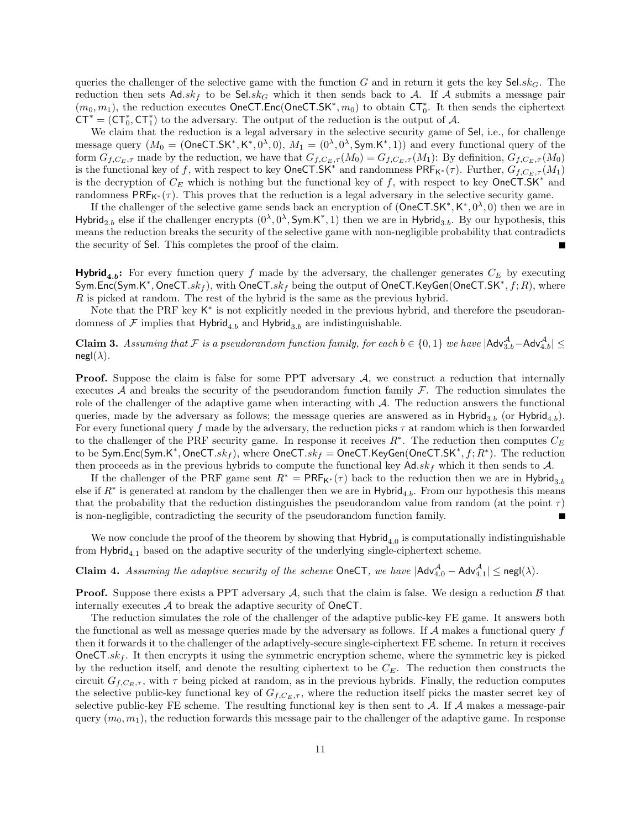queries the challenger of the selective game with the function G and in return it gets the key Sel.skg. The reduction then sets  $Ad.sk_f$  to be  $Sel. sk_G$  which it then sends back to A. If A submits a message pair  $(m_0, m_1)$ , the reduction executes OneCT.Enc(OneCT.SK<sup>\*</sup>, m<sub>0</sub>) to obtain CT<sub>0</sub><sup>\*</sup>. It then sends the ciphertext  $CT^* = (CT_0^*, CT_1^*)$  to the adversary. The output of the reduction is the output of A.

We claim that the reduction is a legal adversary in the selective security game of Sel, i.e., for challenge message query  $(M_0 = (\text{OneCT.SK}^*, K^*, 0^{\lambda}, 0), M_1 = (0^{\lambda}, 0^{\lambda}, \text{Sym.K}^*, 1))$  and every functional query of the form  $G_{f,C_E,\tau}$  made by the reduction, we have that  $G_{f,C_E,\tau}(M_0) = G_{f,C_E,\tau}(M_1)$ : By definition,  $G_{f,C_E,\tau}(M_0)$ is the functional key of f, with respect to key OneCT.SK<sup>\*</sup> and randomness  $\mathsf{PRF}_{\mathsf{K}^*}(\tau)$ . Further,  $G_{f,C_E,\tau}(M_1)$ is the decryption of  $C_E$  which is nothing but the functional key of f, with respect to key OneCT.SK<sup>\*</sup> and randomness  $PRF_{K^*}(\tau)$ . This proves that the reduction is a legal adversary in the selective security game.

If the challenger of the selective game sends back an encryption of  $(OneCT.SK^*, K^*, 0^{\lambda}, 0)$  then we are in Hybrid<sub>2,b</sub> else if the challenger encrypts  $(0^{\lambda}, 0^{\lambda}, Sym.K^*, 1)$  then we are in Hybrid<sub>3,b</sub>. By our hypothesis, this means the reduction breaks the security of the selective game with non-negligible probability that contradicts the security of Sel. This completes the proof of the claim. П

**Hybrid<sub>4.b</sub>:** For every function query f made by the adversary, the challenger generates  $C_E$  by executing Sym.Enc(Sym.K\*, OneCT. $sk_f$ ), with OneCT. $sk_f$  being the output of OneCT.KeyGen(OneCT.SK\*, f; R), where R is picked at random. The rest of the hybrid is the same as the previous hybrid.

Note that the PRF key  $K^*$  is not explicitly needed in the previous hybrid, and therefore the pseudorandomness of  $\mathcal F$  implies that Hybrid<sub>4,b</sub> and Hybrid<sub>3,b</sub> are indistinguishable.

Claim 3. Assuming that F is a pseudorandom function family, for each  $b \in \{0,1\}$  we have  $|\text{Adv}_{3.b}^{\mathcal{A}} - \text{Adv}_{4.b}^{\mathcal{A}}|$  ≤  $negl(\lambda)$ .

**Proof.** Suppose the claim is false for some PPT adversary  $A$ , we construct a reduction that internally executes A and breaks the security of the pseudorandom function family  $\mathcal F$ . The reduction simulates the role of the challenger of the adaptive game when interacting with  $A$ . The reduction answers the functional queries, made by the adversary as follows; the message queries are answered as in Hybrid<sub>4.b</sub> (or Hybrid<sub>4.b</sub>). For every functional query f made by the adversary, the reduction picks  $\tau$  at random which is then forwarded to the challenger of the PRF security game. In response it receives  $R^*$ . The reduction then computes  $C_E$ to be Sym.Enc(Sym.K\*, OneCT. $sk_f$ ), where OneCT. $sk_f =$  OneCT.KeyGen(OneCT.SK\*,  $f; R^*$ ). The reduction then proceeds as in the previous hybrids to compute the functional key  $Ad.sk_f$  which it then sends to  $A$ .

If the challenger of the PRF game sent  $R^* = \text{PRF}_{K^*}(\tau)$  back to the reduction then we are in Hybrid<sub>3.b</sub> else if  $R^*$  is generated at random by the challenger then we are in  $\mathsf{Hybrid}_{4,b}$ . From our hypothesis this means that the probability that the reduction distinguishes the pseudorandom value from random (at the point  $\tau$ ) is non-negligible, contradicting the security of the pseudorandom function family.

We now conclude the proof of the theorem by showing that  $\mathsf{Hybrid}_{4.0}$  is computationally indistinguishable from  $Hybrid_{4,1}$  based on the adaptive security of the underlying single-ciphertext scheme.

**Claim 4.** Assuming the adaptive security of the scheme OneCT, we have  $|Adv_{4.0}^{\mathcal{A}} - Adv_{4.1}^{\mathcal{A}}| \leq negl(\lambda)$ .

**Proof.** Suppose there exists a PPT adversary  $A$ , such that the claim is false. We design a reduction  $B$  that internally executes  $\mathcal A$  to break the adaptive security of OneCT.

The reduction simulates the role of the challenger of the adaptive public-key FE game. It answers both the functional as well as message queries made by the adversary as follows. If  $A$  makes a functional query  $f$ then it forwards it to the challenger of the adaptively-secure single-ciphertext FE scheme. In return it receives OneCT. $sk_f$ . It then encrypts it using the symmetric encryption scheme, where the symmetric key is picked by the reduction itself, and denote the resulting ciphertext to be  $C_E$ . The reduction then constructs the circuit  $G_{f,C_{E,T}}$ , with  $\tau$  being picked at random, as in the previous hybrids. Finally, the reduction computes the selective public-key functional key of  $G_{f,C_E,\tau}$ , where the reduction itself picks the master secret key of selective public-key FE scheme. The resulting functional key is then sent to  $A$ . If  $A$  makes a message-pair query  $(m_0, m_1)$ , the reduction forwards this message pair to the challenger of the adaptive game. In response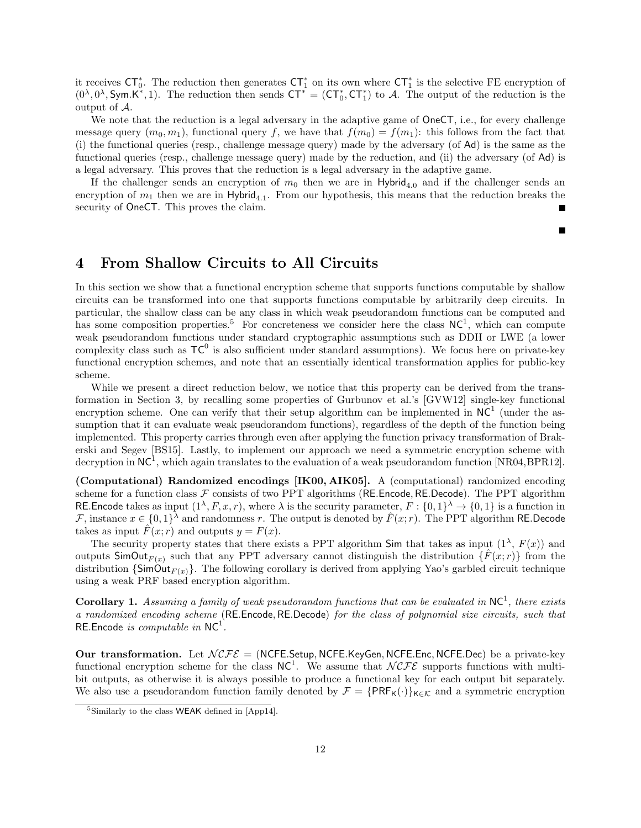it receives  $CT_0^*$ . The reduction then generates  $CT_1^*$  on its own where  $CT_1^*$  is the selective FE encryption of  $(0^{\lambda}, 0^{\lambda}, \mathsf{Sym.K}^*, 1)$ . The reduction then sends  $\mathsf{CT}^* = (\mathsf{CT}_0^*, \mathsf{CT}_1^*)$  to A. The output of the reduction is the output of A.

We note that the reduction is a legal adversary in the adaptive game of  $OneCT$ , i.e., for every challenge message query  $(m_0, m_1)$ , functional query f, we have that  $f(m_0) = f(m_1)$ : this follows from the fact that (i) the functional queries (resp., challenge message query) made by the adversary (of Ad) is the same as the functional queries (resp., challenge message query) made by the reduction, and (ii) the adversary (of Ad) is a legal adversary. This proves that the reduction is a legal adversary in the adaptive game.

If the challenger sends an encryption of  $m_0$  then we are in  $H$ ybrid<sub>4.0</sub> and if the challenger sends an encryption of  $m_1$  then we are in  $H$ ybrid<sub>4.1</sub>. From our hypothesis, this means that the reduction breaks the security of OneCT. This proves the claim.

П

### 4 From Shallow Circuits to All Circuits

In this section we show that a functional encryption scheme that supports functions computable by shallow circuits can be transformed into one that supports functions computable by arbitrarily deep circuits. In particular, the shallow class can be any class in which weak pseudorandom functions can be computed and has some composition properties.<sup>5</sup> For concreteness we consider here the class  $NC<sup>1</sup>$ , which can compute weak pseudorandom functions under standard cryptographic assumptions such as DDH or LWE (a lower complexity class such as  $TC^0$  is also sufficient under standard assumptions). We focus here on private-key functional encryption schemes, and note that an essentially identical transformation applies for public-key scheme.

While we present a direct reduction below, we notice that this property can be derived from the transformation in Section 3, by recalling some properties of Gurbunov et al.'s [GVW12] single-key functional encryption scheme. One can verify that their setup algorithm can be implemented in  $NC<sup>1</sup>$  (under the assumption that it can evaluate weak pseudorandom functions), regardless of the depth of the function being implemented. This property carries through even after applying the function privacy transformation of Brakerski and Segev [BS15]. Lastly, to implement our approach we need a symmetric encryption scheme with decryption in  $NC^1$ , which again translates to the evaluation of a weak pseudorandom function [NR04,BPR12].

(Computational) Randomized encodings [IK00, AIK05]. A (computational) randomized encoding scheme for a function class  $\mathcal F$  consists of two PPT algorithms (RE.Encode, RE.Decode). The PPT algorithm RE. Encode takes as input  $(1^{\lambda}, F, x, r)$ , where  $\lambda$  is the security parameter,  $F: \{0, 1\}^{\lambda} \to \{0, 1\}$  is a function in F, instance  $x \in \{0,1\}^{\lambda}$  and randomness r. The output is denoted by  $\hat{F}(x; r)$ . The PPT algorithm RE.Decode takes as input  $F(x; r)$  and outputs  $y = F(x)$ .

The security property states that there exists a PPT algorithm Sim that takes as input  $(1^{\lambda}, F(x))$  and outputs  $\textsf{SimOut}_{F(x)}$  such that any PPT adversary cannot distinguish the distribution  $\{F(x; r)\}$  from the distribution  $\{\textsf{SimOut}_{F(x)}\}.$  The following corollary is derived from applying Yao's garbled circuit technique using a weak PRF based encryption algorithm.

**Corollary 1.** Assuming a family of weak pseudorandom functions that can be evaluated in  $NC^1$ , there exists a randomized encoding scheme (RE.Encode, RE.Decode) for the class of polynomial size circuits, such that RE. Encode is computable in  $NC^1$ .

Our transformation. Let  $NCFE = (NCFE. Setup, NCFE. KeyGen, NCFE. Enc, NCFE. Dec)$  be a private-key functional encryption scheme for the class  $NC<sup>1</sup>$ . We assume that  $NCFE$  supports functions with multibit outputs, as otherwise it is always possible to produce a functional key for each output bit separately. We also use a pseudorandom function family denoted by  $\mathcal{F} = \{PRF_K(\cdot)\}_{K \in \mathcal{K}}$  and a symmetric encryption

<sup>&</sup>lt;sup>5</sup>Similarly to the class WEAK defined in [App14].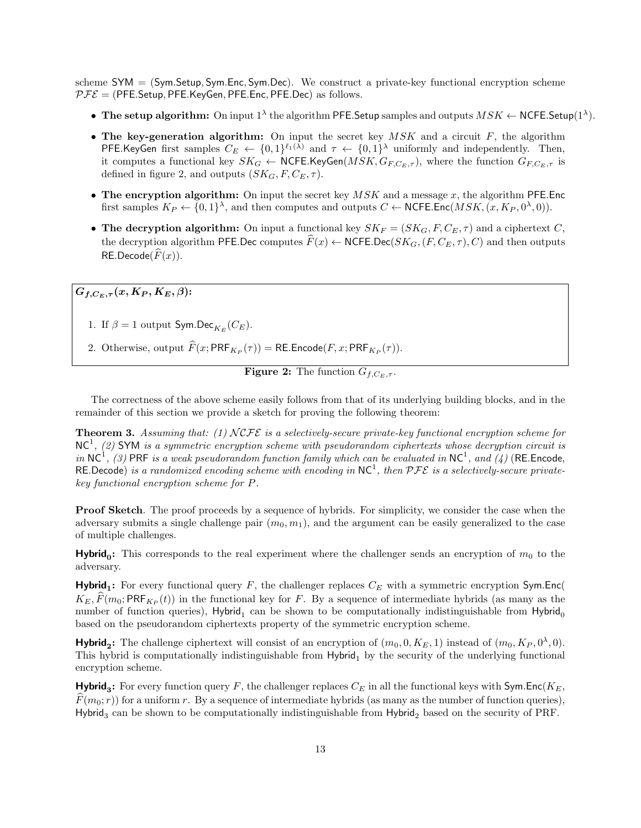scheme SYM = (Sym.Setup, Sym.Enc, Sym.Dec). We construct a private-key functional encryption scheme  $PFE = (PFE.Setup, PFE.KeyGen, PFEEnc, PFEDec)$  as follows.

- The setup algorithm: On input  $1^{\lambda}$  the algorithm PFE. Setup samples and outputs  $MSK \leftarrow \text{NCE}$ . Setup( $1^{\lambda}$ ).
- The key-generation algorithm: On input the secret key  $MSK$  and a circuit  $F$ , the algorithm PFE. KeyGen first samples  $C_E \leftarrow \{0,1\}^{\ell_1(\lambda)}$  and  $\tau \leftarrow \{0,1\}^{\lambda}$  uniformly and independently. Then, it computes a functional key  $SK_G \leftarrow \mathsf{NCFE}$ .KeyGen $(MSK, G_{F,C_E,\tau})$ , where the function  $G_{F,C_E,\tau}$  is defined in figure 2, and outputs  $(SK_G, F, C_E, \tau)$ .
- The encryption algorithm: On input the secret key  $MSK$  and a message x, the algorithm PFE. Enc first samples  $K_P \leftarrow \{0,1\}^{\lambda}$ , and then computes and outputs  $C \leftarrow \text{NCFE}.\text{Enc}(MSK, (x, K_P, 0^{\lambda}, 0)).$
- The decryption algorithm: On input a functional key  $SK_F = (SK_G, F, C_E, \tau)$  and a ciphertext C, the decryption algorithm PFE.Dec computes  $\widehat{F}(x) \leftarrow$  NCFE.Dec( $SK_G$ ,  $(F, C_E, \tau)$ , C) and then outputs  $RE.Decode(\widehat{F}(x)).$

 $G_{f,C_E,\tau}(x, K_P, K_E, \beta)$ :

1. If  $\beta = 1$  output  $\mathsf{Sym}.\mathsf{Dec}_{K_E}(C_E)$ .

2. Otherwise, output  $F(x; \text{PRF}_{K_P}(\tau)) = \text{RE.Encode}(F, x; \text{PRF}_{K_P}(\tau)).$ 

**Figure 2:** The function  $G_{f,C_F,\tau}$ .

The correctness of the above scheme easily follows from that of its underlying building blocks, and in the remainder of this section we provide a sketch for proving the following theorem:

**Theorem 3.** Assuming that: (1) NCFE is a selectively-secure private-key functional encryption scheme for  $NC<sup>1</sup>$ , (2) SYM is a symmetric encryption scheme with pseudorandom ciphertexts whose decryption circuit is in NC<sup>1</sup>, (3) PRF is a weak pseudorandom function family which can be evaluated in NC<sup>1</sup>, and (4) (RE.Encode, RE.Decode) is a randomized encoding scheme with encoding in NC<sup>1</sup>, then PFE is a selectively-secure privatekey functional encryption scheme for P.

**Proof Sketch**. The proof proceeds by a sequence of hybrids. For simplicity, we consider the case when the adversary submits a single challenge pair  $(m_0, m_1)$ , and the argument can be easily generalized to the case of multiple challenges.

**Hybrid<sub>0</sub>:** This corresponds to the real experiment where the challenger sends an encryption of  $m_0$  to the adversary.

**Hybrid<sub>1</sub>:** For every functional query F, the challenger replaces  $C_E$  with a symmetric encryption Sym.Enc(  $K_E, F(m_0; \text{PRF}_{K_P}(t))$  in the functional key for F. By a sequence of intermediate hybrids (as many as the number of function queries),  $H$ ybrid<sub>1</sub> can be shown to be computationally indistinguishable from  $H$ ybrid<sub>0</sub> based on the pseudorandom ciphertexts property of the symmetric encryption scheme.

**Hybrid<sub>2</sub>:** The challenge ciphertext will consist of an encryption of  $(m_0, 0, K_E, 1)$  instead of  $(m_0, K_P, 0^{\lambda}, 0)$ . This hybrid is computationally indistinguishable from  $Hybrid<sub>1</sub>$  by the security of the underlying functional encryption scheme.

**Hybrid<sub>3</sub>:** For every function query F, the challenger replaces  $C_E$  in all the functional keys with  $Sym.Enc(K_E,$  $F(m_0; r)$  for a uniform r. By a sequence of intermediate hybrids (as many as the number of function queries), Hybrid<sub>3</sub> can be shown to be computationally indistinguishable from Hybrid<sub>2</sub> based on the security of PRF.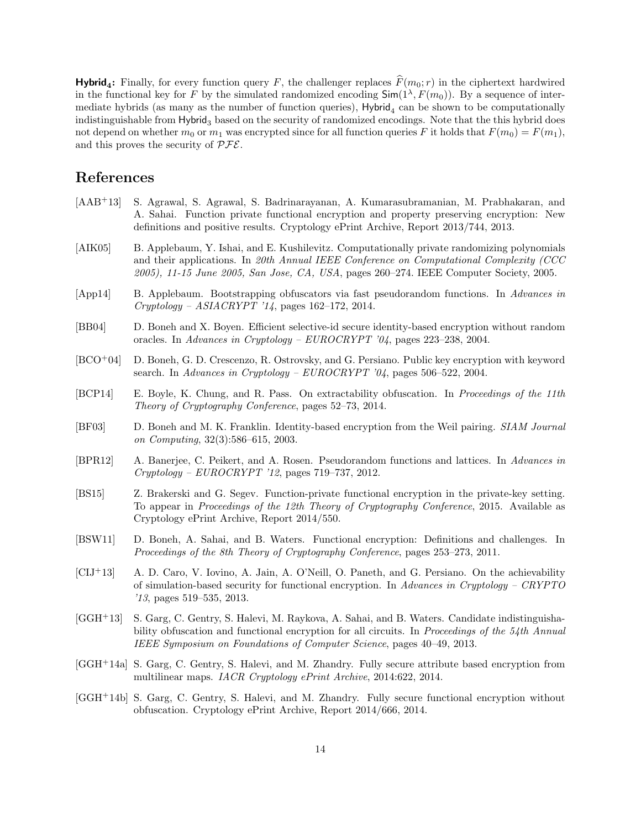**Hybrid<sub>4</sub>:** Finally, for every function query F, the challenger replaces  $F(m_0; r)$  in the ciphertext hardwired in the functional key for F by the simulated randomized encoding  $\textsf{Sim}(1^{\lambda}, F(m_0))$ . By a sequence of intermediate hybrids (as many as the number of function queries),  $H$ ybrid<sub>4</sub> can be shown to be computationally indistinguishable from  $Hybrid<sub>3</sub>$  based on the security of randomized encodings. Note that the this hybrid does not depend on whether  $m_0$  or  $m_1$  was encrypted since for all function queries F it holds that  $F(m_0) = F(m_1)$ , and this proves the security of  $PFE$ .

### References

- [AAB+13] S. Agrawal, S. Agrawal, S. Badrinarayanan, A. Kumarasubramanian, M. Prabhakaran, and A. Sahai. Function private functional encryption and property preserving encryption: New definitions and positive results. Cryptology ePrint Archive, Report 2013/744, 2013.
- [AIK05] B. Applebaum, Y. Ishai, and E. Kushilevitz. Computationally private randomizing polynomials and their applications. In 20th Annual IEEE Conference on Computational Complexity (CCC 2005), 11-15 June 2005, San Jose, CA, USA, pages 260–274. IEEE Computer Society, 2005.
- [App14] B. Applebaum. Bootstrapping obfuscators via fast pseudorandom functions. In Advances in  $Cryptology - ASIACRYPT'14$ , pages 162–172, 2014.
- [BB04] D. Boneh and X. Boyen. Efficient selective-id secure identity-based encryption without random oracles. In Advances in Cryptology – EUROCRYPT '04, pages 223–238, 2004.
- [BCO+04] D. Boneh, G. D. Crescenzo, R. Ostrovsky, and G. Persiano. Public key encryption with keyword search. In Advances in Cryptology - EUROCRYPT '04, pages 506-522, 2004.
- [BCP14] E. Boyle, K. Chung, and R. Pass. On extractability obfuscation. In Proceedings of the 11th Theory of Cryptography Conference, pages 52–73, 2014.
- [BF03] D. Boneh and M. K. Franklin. Identity-based encryption from the Weil pairing. SIAM Journal on Computing, 32(3):586–615, 2003.
- [BPR12] A. Banerjee, C. Peikert, and A. Rosen. Pseudorandom functions and lattices. In Advances in  $Cryptology - EUROCRYPT 712$ , pages 719–737, 2012.
- [BS15] Z. Brakerski and G. Segev. Function-private functional encryption in the private-key setting. To appear in Proceedings of the 12th Theory of Cryptography Conference, 2015. Available as Cryptology ePrint Archive, Report 2014/550.
- [BSW11] D. Boneh, A. Sahai, and B. Waters. Functional encryption: Definitions and challenges. In Proceedings of the 8th Theory of Cryptography Conference, pages 253–273, 2011.
- [CIJ<sup>+</sup>13] A. D. Caro, V. Iovino, A. Jain, A. O'Neill, O. Paneth, and G. Persiano. On the achievability of simulation-based security for functional encryption. In Advances in Cryptology – CRYPTO '13, pages 519–535, 2013.
- [GGH<sup>+</sup>13] S. Garg, C. Gentry, S. Halevi, M. Raykova, A. Sahai, and B. Waters. Candidate indistinguishability obfuscation and functional encryption for all circuits. In Proceedings of the 54th Annual IEEE Symposium on Foundations of Computer Science, pages 40–49, 2013.
- [GGH<sup>+</sup>14a] S. Garg, C. Gentry, S. Halevi, and M. Zhandry. Fully secure attribute based encryption from multilinear maps. IACR Cryptology ePrint Archive, 2014:622, 2014.
- [GGH<sup>+</sup>14b] S. Garg, C. Gentry, S. Halevi, and M. Zhandry. Fully secure functional encryption without obfuscation. Cryptology ePrint Archive, Report 2014/666, 2014.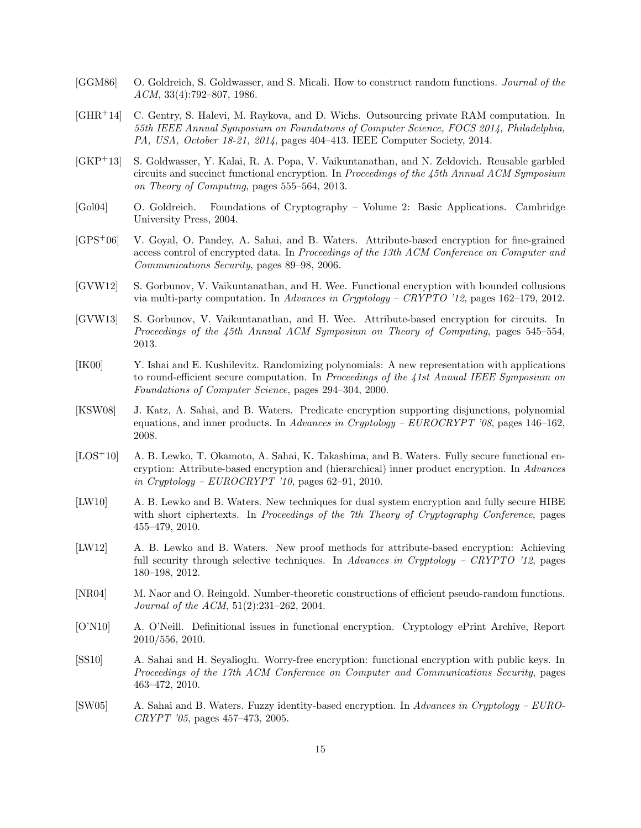- [GGM86] O. Goldreich, S. Goldwasser, and S. Micali. How to construct random functions. Journal of the ACM, 33(4):792–807, 1986.
- [GHR+14] C. Gentry, S. Halevi, M. Raykova, and D. Wichs. Outsourcing private RAM computation. In 55th IEEE Annual Symposium on Foundations of Computer Science, FOCS 2014, Philadelphia, PA, USA, October 18-21, 2014, pages 404–413. IEEE Computer Society, 2014.
- [GKP+13] S. Goldwasser, Y. Kalai, R. A. Popa, V. Vaikuntanathan, and N. Zeldovich. Reusable garbled circuits and succinct functional encryption. In Proceedings of the 45th Annual ACM Symposium on Theory of Computing, pages 555–564, 2013.
- [Gol04] O. Goldreich. Foundations of Cryptography Volume 2: Basic Applications. Cambridge University Press, 2004.
- [GPS+06] V. Goyal, O. Pandey, A. Sahai, and B. Waters. Attribute-based encryption for fine-grained access control of encrypted data. In Proceedings of the 13th ACM Conference on Computer and Communications Security, pages 89–98, 2006.
- [GVW12] S. Gorbunov, V. Vaikuntanathan, and H. Wee. Functional encryption with bounded collusions via multi-party computation. In Advances in Cryptology – CRYPTO '12, pages 162–179, 2012.
- [GVW13] S. Gorbunov, V. Vaikuntanathan, and H. Wee. Attribute-based encryption for circuits. In Proceedings of the 45th Annual ACM Symposium on Theory of Computing, pages 545–554, 2013.
- [IK00] Y. Ishai and E. Kushilevitz. Randomizing polynomials: A new representation with applications to round-efficient secure computation. In Proceedings of the 41st Annual IEEE Symposium on Foundations of Computer Science, pages 294–304, 2000.
- [KSW08] J. Katz, A. Sahai, and B. Waters. Predicate encryption supporting disjunctions, polynomial equations, and inner products. In Advances in Cryptology –  $EUROCRYPT$  '08, pages 146–162, 2008.
- [LOS+10] A. B. Lewko, T. Okamoto, A. Sahai, K. Takashima, and B. Waters. Fully secure functional encryption: Attribute-based encryption and (hierarchical) inner product encryption. In Advances in Cryptology –  $EUROCRYPT'10$ , pages 62–91, 2010.
- [LW10] A. B. Lewko and B. Waters. New techniques for dual system encryption and fully secure HIBE with short ciphertexts. In Proceedings of the 7th Theory of Cryptography Conference, pages 455–479, 2010.
- [LW12] A. B. Lewko and B. Waters. New proof methods for attribute-based encryption: Achieving full security through selective techniques. In Advances in Cryptology – CRYPTO '12, pages 180–198, 2012.
- [NR04] M. Naor and O. Reingold. Number-theoretic constructions of efficient pseudo-random functions. Journal of the ACM, 51(2):231–262, 2004.
- [O'N10] A. O'Neill. Definitional issues in functional encryption. Cryptology ePrint Archive, Report 2010/556, 2010.
- [SS10] A. Sahai and H. Seyalioglu. Worry-free encryption: functional encryption with public keys. In Proceedings of the 17th ACM Conference on Computer and Communications Security, pages 463–472, 2010.
- [SW05] A. Sahai and B. Waters. Fuzzy identity-based encryption. In Advances in Cryptology EURO-CRYPT '05, pages 457–473, 2005.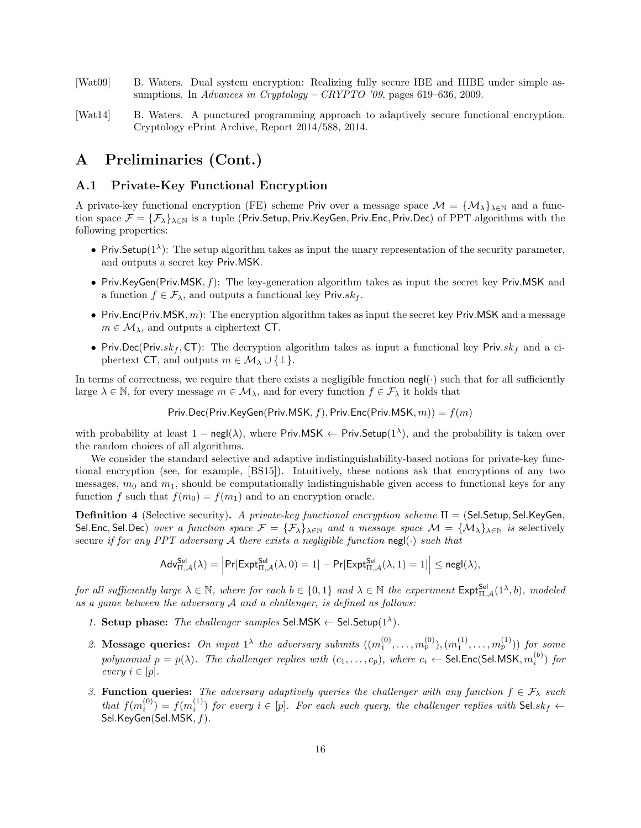- [Wat09] B. Waters. Dual system encryption: Realizing fully secure IBE and HIBE under simple assumptions. In Advances in Cryptology – CRYPTO '09, pages 619–636, 2009.
- [Wat14] B. Waters. A punctured programming approach to adaptively secure functional encryption. Cryptology ePrint Archive, Report 2014/588, 2014.

## A Preliminaries (Cont.)

### A.1 Private-Key Functional Encryption

A private-key functional encryption (FE) scheme Priv over a message space  $\mathcal{M} = {\mathcal{M}}_{\lambda}$ <sub> $\lambda \in \mathbb{N}$ </sub> and a function space  $\mathcal{F} = \{ \mathcal{F}_\lambda \}_{\lambda \in \mathbb{N}}$  is a tuple (Priv.Setup, Priv.KeyGen, Priv.Enc, Priv.Dec) of PPT algorithms with the following properties:

- Priv. Setup( $1^{\lambda}$ ): The setup algorithm takes as input the unary representation of the security parameter, and outputs a secret key Priv.MSK.
- Priv.KeyGen(Priv.MSK,  $f$ ): The key-generation algorithm takes as input the secret key Priv.MSK and a function  $f \in \mathcal{F}_{\lambda}$ , and outputs a functional key Priv.sk<sub>f</sub>.
- Priv.Enc(Priv.MSK,  $m$ ): The encryption algorithm takes as input the secret key Priv.MSK and a message  $m \in \mathcal{M}_{\lambda}$ , and outputs a ciphertext CT.
- Priv.Dec(Priv.sk<sub>f</sub>, CT): The decryption algorithm takes as input a functional key Priv.sk<sub>f</sub> and a ciphertext CT, and outputs  $m \in \mathcal{M}_\lambda \cup \{\perp\}.$

In terms of correctness, we require that there exists a negligible function  $neg(\cdot)$  such that for all sufficiently large  $\lambda \in \mathbb{N}$ , for every message  $m \in \mathcal{M}_{\lambda}$ , and for every function  $f \in \mathcal{F}_{\lambda}$  it holds that

Priv.Dec(Priv.KeyGen(Priv.MSK, f), Priv.Enc(Priv.MSK,  $m$ )) =  $f(m)$ 

with probability at least  $1 - \text{negl}(\lambda)$ , where Priv.MSK  $\leftarrow$  Priv.Setup( $1^{\lambda}$ ), and the probability is taken over the random choices of all algorithms.

We consider the standard selective and adaptive indistinguishability-based notions for private-key functional encryption (see, for example, [BS15]). Intuitively, these notions ask that encryptions of any two messages,  $m_0$  and  $m_1$ , should be computationally indistinguishable given access to functional keys for any function f such that  $f(m_0) = f(m_1)$  and to an encryption oracle.

**Definition 4** (Selective security). A private-key functional encryption scheme  $\Pi =$  (Sel.Setup, Sel.KeyGen, Sel.Enc, Sel.Dec) over a function space  $\mathcal{F} = {\{\mathcal{F}_{\lambda}\}}_{\lambda \in \mathbb{N}}$  and a message space  $\mathcal{M} = {\{\mathcal{M}_{\lambda}\}}_{\lambda \in \mathbb{N}}$  is selectively secure if for any PPT adversary A there exists a negligible function negl( $\cdot$ ) such that

$$
\mathsf{Adv}^{\mathsf{Sel}}_{\Pi,\mathcal{A}}(\lambda) = \Big|\mathsf{Pr}[\mathsf{Expt}^{\mathsf{Sel}}_{\Pi,\mathcal{A}}(\lambda,0) = 1] - \mathsf{Pr}[\mathsf{Expt}^{\mathsf{Sel}}_{\Pi,\mathcal{A}}(\lambda,1) = 1] \Big| \leq \mathsf{negl}(\lambda),
$$

for all sufficiently large  $\lambda \in \mathbb{N}$ , where for each  $b \in \{0,1\}$  and  $\lambda \in \mathbb{N}$  the experiment  $\mathsf{Expt}^{\mathsf{Sel}}_{\Pi,\mathcal{A}}(1^\lambda,b)$ , modeled as a game between the adversary A and a challenger, is defined as follows:

- 1. Setup phase: The challenger samples Sel.MSK  $\leftarrow$  Sel.Setup(1<sup> $\lambda$ </sup>).
- 2. Message queries: On input  $1^{\lambda}$  the adversary submits  $((m_1^{(0)}, \ldots, m_p^{(0)}), (m_1^{(1)}, \ldots, m_p^{(1)}))$  for some polynomial  $p = p(\lambda)$ . The challenger replies with  $(c_1, \ldots, c_p)$ , where  $c_i \leftarrow$  Sel.Enc(Sel.MSK,  $m_i^{(b)}$ ) for every  $i \in [p]$ .
- 3. Function queries: The adversary adaptively queries the challenger with any function  $f \in \mathcal{F}_{\lambda}$  such that  $f(m_i^{(0)}) = f(m_i^{(1)})$  for every  $i \in [p]$ . For each such query, the challenger replies with Sel.sk<sub>f</sub>  $\leftarrow$ Sel.KeyGen(Sel.MSK, f).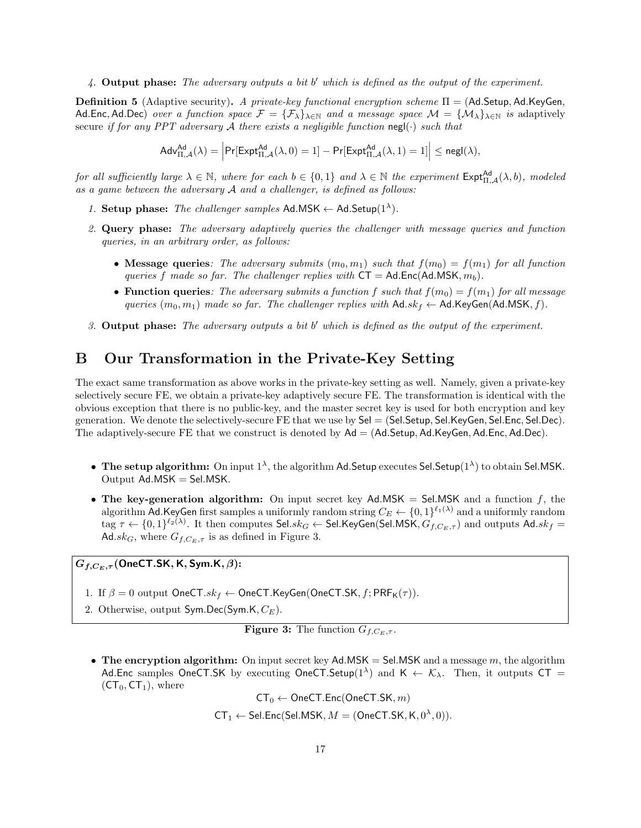4. Output phase: The adversary outputs a bit  $b'$  which is defined as the output of the experiment.

**Definition 5** (Adaptive security). A private-key functional encryption scheme  $\Pi$  = (Ad.Setup, Ad.KeyGen, Ad.Enc, Ad.Dec) over a function space  $\mathcal{F} = {\{\mathcal{F}_{\lambda}\}}_{\lambda \in \mathbb{N}}$  and a message space  $\mathcal{M} = {\{\mathcal{M}_{\lambda}\}}_{\lambda \in \mathbb{N}}$  is adaptively secure if for any PPT adversary A there exists a negligible function negl( $\cdot$ ) such that

$$
\mathsf{Adv}_{\Pi,\mathcal{A}}^{\mathsf{Ad}}(\lambda) = \Big|\mathsf{Pr}[\mathsf{Expt}_{\Pi,\mathcal{A}}^{\mathsf{Ad}}(\lambda,0) = 1] - \mathsf{Pr}[\mathsf{Expt}_{\Pi,\mathcal{A}}^{\mathsf{Ad}}(\lambda,1) = 1] \Big| \leq \mathsf{negl}(\lambda),
$$

for all sufficiently large  $\lambda \in \mathbb{N}$ , where for each  $b \in \{0,1\}$  and  $\lambda \in \mathbb{N}$  the experiment  $\mathsf{Expt}^{\mathsf{Ad}}_{\Pi,\mathcal{A}}(\lambda,b)$ , modeled as a game between the adversary  $A$  and a challenger, is defined as follows:

- 1. Setup phase: The challenger samples Ad.MSK  $\leftarrow$  Ad.Setup(1<sup> $\lambda$ </sup>).
- 2. Query phase: The adversary adaptively queries the challenger with message queries and function queries, in an arbitrary order, as follows:
	- Message queries: The adversary submits  $(m_0, m_1)$  such that  $f(m_0) = f(m_1)$  for all function queries f made so far. The challenger replies with  $CT = Ad.Enc(Ad.MSK, m_b)$ .
	- Function queries: The adversary submits a function f such that  $f(m_0) = f(m_1)$  for all message queries  $(m_0, m_1)$  made so far. The challenger replies with  $Ad.sk_f \leftarrow Ad.KeyGen(Ad.MSK, f)$ .
- 3. Output phase: The adversary outputs a bit b' which is defined as the output of the experiment.

### B Our Transformation in the Private-Key Setting

The exact same transformation as above works in the private-key setting as well. Namely, given a private-key selectively secure FE, we obtain a private-key adaptively secure FE. The transformation is identical with the obvious exception that there is no public-key, and the master secret key is used for both encryption and key generation. We denote the selectively-secure FE that we use by Sel = (Sel.Setup, Sel.KeyGen, Sel.Enc, Sel.Dec). The adaptively-secure FE that we construct is denoted by  $Ad = (Ad.Setup, Ad.KeyGen, Ad.Enc, Ad.Dec)$ .

- The setup algorithm: On input  $1^{\lambda}$ , the algorithm Ad. Setup executes Sel. Setup( $1^{\lambda}$ ) to obtain Sel. MSK. Output  $Ad.MSK = Sel.MSK$ .
- The key-generation algorithm: On input secret key  $Ad.MSK = Sel.MSK$  and a function f, the algorithm <code>Ad.KeyGen</code> first samples a uniformly random string  $C_E \leftarrow \{0,1\}^{\ell_1(\lambda)}$  and a uniformly random  $\tan \tau \gets \{0,1\}^{\ell_2(\lambda)}.$  It then computes Sel. $sk_G \gets$  Sel.KeyGen(Sel.MSK,  $G_{f,C_E,\tau})$  and outputs  $\mathsf{Ad}.sk_f =$ Ad.sk<sub>G</sub>, where  $G_{f,C_{E,T}}$  is as defined in Figure 3.

 $G_{f,C_E,\tau}$ (OneCT.SK, K, Sym.K,  $\beta$ ):

- 1. If  $\beta = 0$  output OneCT.s $k_f \leftarrow$  OneCT.KeyGen(OneCT.SK, f; PRF<sub>K</sub>( $\tau$ )).
- 2. Otherwise, output  $SymDec(Sym.K, C_E)$ .

**Figure 3:** The function  $G_{f,C_E,\tau}$ .

• The encryption algorithm: On input secret key Ad.MSK = Sel.MSK and a message  $m$ , the algorithm Ad. Enc samples OneCT.SK by executing OneCT. Setup( $1^{\lambda}$ ) and  $K \leftarrow K_{\lambda}$ . Then, it outputs CT =  $(CT_0, CT_1)$ , where

 $CT_0 \leftarrow$  OneCT.Enc(OneCT.SK, m)

 $CT_1 \leftarrow$  Sel.Enc(Sel.MSK,  $M = (OneCT.SK, K, 0^{\lambda}, 0)$ ).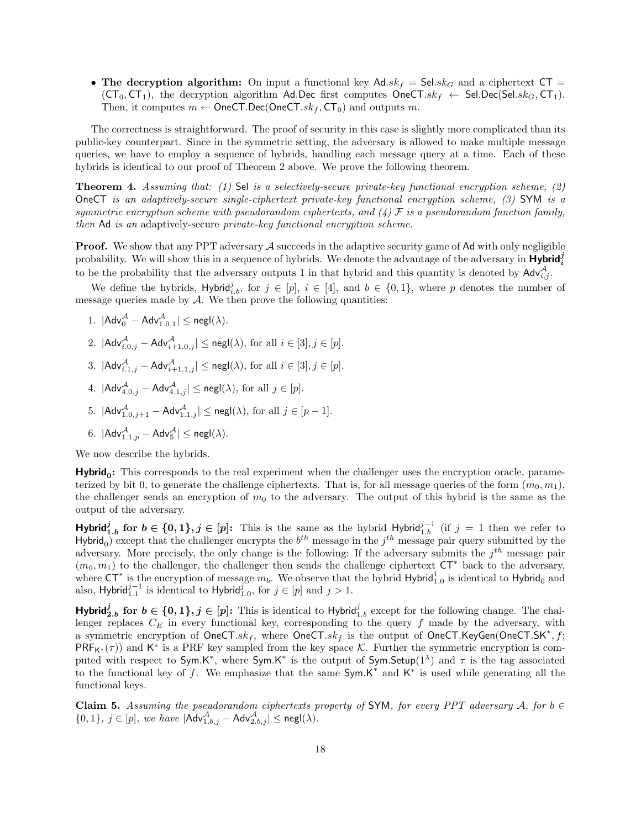• The decryption algorithm: On input a functional key Ad.s $k_f$  = Sel.sk<sub>G</sub> and a ciphertext CT =  $(CT_0, CT_1)$ , the decryption algorithm Ad.Dec first computes OneCT. $sk_f \leftarrow$  Sel.Dec(Sel. $sk_G$ , CT<sub>1</sub>). Then, it computes  $m \leftarrow$  OneCT.Dec(OneCT.s $k_f$ , CT<sub>0</sub>) and outputs m.

The correctness is straightforward. The proof of security in this case is slightly more complicated than its public-key counterpart. Since in the symmetric setting, the adversary is allowed to make multiple message queries, we have to employ a sequence of hybrids, handling each message query at a time. Each of these hybrids is identical to our proof of Theorem 2 above. We prove the following theorem.

Theorem 4. Assuming that: (1) Sel is a selectively-secure private-key functional encryption scheme, (2) OneCT is an adaptively-secure single-ciphertext private-key functional encryption scheme, (3) SYM is a symmetric encryption scheme with pseudorandom ciphertexts, and  $(4)$  F is a pseudorandom function family, then Ad is an adaptively-secure private-key functional encryption scheme.

**Proof.** We show that any PPT adversary A succeeds in the adaptive security game of Ad with only negligible probability. We will show this in a sequence of hybrids. We denote the advantage of the adversary in  $Hybrid_i^j$ to be the probability that the adversary outputs 1 in that hybrid and this quantity is denoted by  $\mathsf{Adv}_{i,j}^{\mathcal{A}}$ .

We define the hybrids,  $\text{Hybrid}_{i,b}^j$ , for  $j \in [p], i \in [4]$ , and  $b \in \{0,1\}$ , where p denotes the number of message queries made by  $A$ . We then prove the following quantities:

- 1.  $|{\mathsf{Adv}}^{\mathcal{A}}_0 {\mathsf{Adv}}^{\mathcal{A}}_{1.0,1}| \leq {\mathsf{negl}}(\lambda).$
- 2.  $|\mathsf{Adv}^{\mathcal{A}}_{i.0,j} \mathsf{Adv}^{\mathcal{A}}_{i+1.0,j}| \le \mathsf{negl}(\lambda), \text{ for all } i \in [3], j \in [p].$
- 3.  $|\mathsf{Adv}_{i.1,j}^{\mathcal{A}} \mathsf{Adv}_{i+1.1,j}^{\mathcal{A}}| \leq \mathsf{negl}(\lambda), \text{ for all } i \in [3], j \in [p].$
- 4.  $|\mathsf{Adv}_{4.0,j}^\mathcal{A} \mathsf{Adv}_{4.1,j}^\mathcal{A}| \le \mathsf{negl}(\lambda), \text{ for all } j \in [p].$
- 5.  $|\mathsf{Adv}_{1.0,j+1}^{\mathcal{A}} \mathsf{Adv}_{1.1,j}^{\mathcal{A}}| \le \mathsf{negl}(\lambda)$ , for all  $j \in [p-1]$ .

6. 
$$
|\mathsf{Adv}^{\mathcal{A}}_{1.1,p} - \mathsf{Adv}^{\mathcal{A}}_5| \leq \mathsf{negl}(\lambda).
$$

We now describe the hybrids.

 $Hybrid<sub>0</sub>$ : This corresponds to the real experiment when the challenger uses the encryption oracle, parameterized by bit 0, to generate the challenge ciphertexts. That is, for all message queries of the form  $(m_0, m_1)$ , the challenger sends an encryption of  $m_0$  to the adversary. The output of this hybrid is the same as the output of the adversary.

**Hybrid**<sup>j</sup><sub>1,b</sub> for  $b \in \{0,1\}$ , j ∈ [p]: This is the same as the hybrid Hybrid<sub>1,b</sub> (if j = 1 then we refer to Hybrid<sub>0</sub>) except that the challenger encrypts the  $b^{th}$  message in the  $j^{th}$  message pair query submitted by the adversary. More precisely, the only change is the following: If the adversary submits the  $j<sup>th</sup>$  message pair  $(m_0, m_1)$  to the challenger, the challenger then sends the challenge ciphertext CT<sup>\*</sup> back to the adversary, where  $CT^*$  is the encryption of message  $m_b$ . We observe that the hybrid Hybrid<sub>1.0</sub> is identical to Hybrid<sub>0</sub> and also, Hybrid $j_{1,1}^{j-1}$  is identical to Hybrid $j_{1,0}^{j}$ , for  $j \in [p]$  and  $j > 1$ .

**Hybrid**<sup> $j$ </sup><sub>2</sub>, b for  $b \in \{0,1\}$ ,  $j \in [p]$ : This is identical to Hybrid<sup>*i*</sup><sub>1,b</sub> except for the following change. The challenger replaces  $C_E$  in every functional key, corresponding to the query f made by the adversary, with a symmetric encryption of OneCT.skf, where OneCT.skf is the output of OneCT.KeyGen(OneCT.SK<sup>\*</sup>,f;  $PRF_{K^*}(\tau)$  and  $K^*$  is a PRF key sampled from the key space K. Further the symmetric encryption is computed with respect to Sym.K<sup>\*</sup>, where Sym.K<sup>\*</sup> is the output of Sym.Setup(1<sup> $\lambda$ </sup>) and  $\tau$  is the tag associated to the functional key of f. We emphasize that the same  $Sym.K^*$  and  $K^*$  is used while generating all the functional keys.

Claim 5. Assuming the pseudorandom ciphertexts property of SYM, for every PPT adversary  $\mathcal{A}$ , for  $b \in$  $\{0,1\},\ j\in[p],\ we\ have\ |Adv_{1,b,j}^{\mathcal{A}}-Adv_{2,b,j}^{\mathcal{A}}|\leq {\mathsf{negl}}(\lambda).$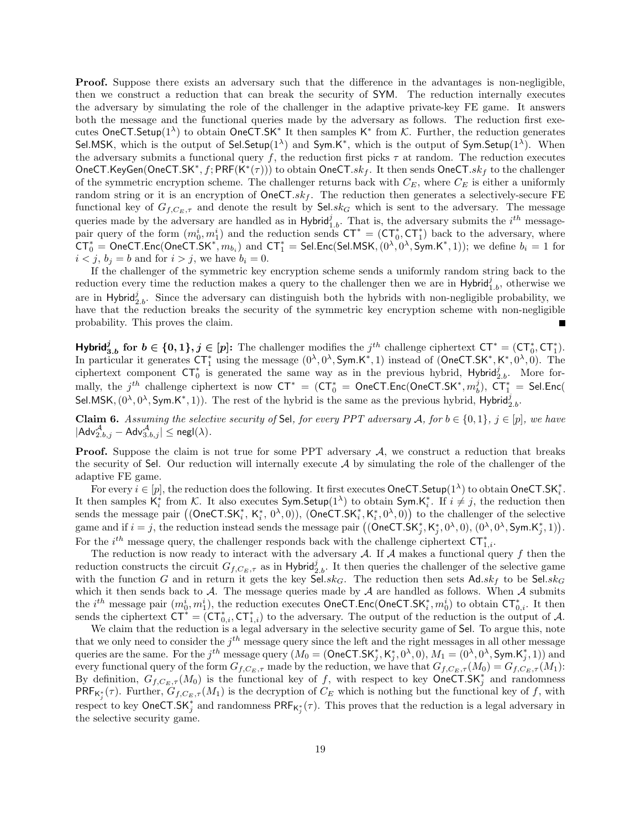Proof. Suppose there exists an adversary such that the difference in the advantages is non-negligible, then we construct a reduction that can break the security of SYM. The reduction internally executes the adversary by simulating the role of the challenger in the adaptive private-key FE game. It answers both the message and the functional queries made by the adversary as follows. The reduction first executes OneCT.Setup( $1^{\lambda}$ ) to obtain OneCT.SK<sup>\*</sup> It then samples K<sup>\*</sup> from K. Further, the reduction generates Sel.MSK, which is the output of Sel.Setup( $1^{\lambda}$ ) and Sym.K<sup>\*</sup>, which is the output of Sym.Setup( $1^{\lambda}$ ). When the adversary submits a functional query f, the reduction first picks  $\tau$  at random. The reduction executes OneCT.KeyGen(OneCT.SK<sup>\*</sup>, f; PRF(K<sup>\*</sup>( $\tau$ ))) to obtain OneCT.sk<sub>f</sub>. It then sends OneCT.sk<sub>f</sub> to the challenger of the symmetric encryption scheme. The challenger returns back with  $C_E$ , where  $C_E$  is either a uniformly random string or it is an encryption of  $OneCT.$  Sk<sub>f</sub>. The reduction then generates a selectively-secure FE functional key of  $G_{f,C_E,\tau}$  and denote the result by Sel.sk<sub>G</sub> which is sent to the adversary. The message queries made by the adversary are handled as in Hybrid $_{1,b}^{j}$ . That is, the adversary submits the  $i^{th}$  messagepair query of the form  $(m_0^i, m_1^i)$  and the reduction sends  $CT^* = (CT_0^*, CT_1^*)$  back to the adversary, where  $CT_0^* =$  OneCT.Enc(OneCT.SK<sup>\*</sup>,  $m_{b_i}$ ) and  $CT_1^* =$  Sel.Enc(Sel.MSK,  $(0^{\lambda}, 0^{\lambda}, 5$ ym.K<sup>\*</sup>, 1)); we define  $b_i = 1$  for  $i < j, b_j = b$  and for  $i > j$ , we have  $b_i = 0$ .

If the challenger of the symmetric key encryption scheme sends a uniformly random string back to the reduction every time the reduction makes a query to the challenger then we are in  $H$ ybrid $j_{1,b}^j$ , otherwise we are in Hybrid $j_{2,b}$ . Since the adversary can distinguish both the hybrids with non-negligible probability, we have that the reduction breaks the security of the symmetric key encryption scheme with non-negligible probability. This proves the claim.

Hybrid<sup>j</sup><sub>3,b</sub> for  $b \in \{0,1\}$ ,  $j \in [p]$ : The challenger modifies the j<sup>th</sup> challenge ciphertext  $CT^* = (CT_0^*, CT_1^*)$ . In particular it generates  $CT_1^*$  using the message  $(0^{\lambda}, 0^{\lambda}, Sym.K^*, 1)$  instead of  $(OneCT.SK^*, K^*, 0^{\lambda}, 0)$ . The ciphertext component  $CT_0^*$  is generated the same way as in the previous hybrid, Hybrid<sub>2,b</sub>. More formally, the  $j^{th}$  challenge ciphertext is now  $CT^* = (CT_0^* = OneCT.Enc(OneCT.SK^*, m_b^j), CT_1^* = Sel.Enc($ Sel.MSK,  $(0^{\lambda}, 0^{\lambda}, \text{Sym.K}^*, 1)$ ). The rest of the hybrid is the same as the previous hybrid, Hybrid $_{2.b}^j$ .

**Claim 6.** Assuming the selective security of Sel, for every PPT adversary A, for  $b \in \{0,1\}$ ,  $j \in [p]$ , we have  $|\mathsf{Adv}^{\mathcal{A}}_{2.b,j} - \mathsf{Adv}^{\mathcal{A}}_{3.b,j}| \le \mathsf{negl}(\lambda).$ 

**Proof.** Suppose the claim is not true for some PPT adversary  $A$ , we construct a reduction that breaks the security of Sel. Our reduction will internally execute  $A$  by simulating the role of the challenger of the adaptive FE game.

For every  $i \in [p]$ , the reduction does the following. It first executes  $\mathsf{OneCT}.\mathsf{Setup}(1^\lambda)$  to obtain  $\mathsf{OneCT}.\mathsf{SK}_i^*$ . It then samples  $K_i^*$  from K. It also executes  $\textsf{Sym}.$ Setup $(1^{\lambda})$  to obtain  $\textsf{Sym}.K_i^*$ . If  $i \neq j$ , the reduction then sends the message pair  $((\text{OneCT.SK}^*_i, K^*_i, 0^\lambda, 0)), (\text{OneCT.SK}^*_i, K^*_i, 0^\lambda, 0))$  to the challenger of the selective game and if  $i = j$ , the reduction instead sends the message pair  $((\mathsf{OneCT}.\mathsf{SK}^*_j, \mathsf{K}^*_j, 0^\lambda, 0), (0^\lambda, 0^\lambda, \mathsf{Sym}.\mathsf{K}^*_j, 1)).$ For the  $i^{th}$  message query, the challenger responds back with the challenge ciphertext  $\mathsf{CT}^*_{1,i}$ .

The reduction is now ready to interact with the adversary  $\mathcal A$ . If  $\mathcal A$  makes a functional query f then the reduction constructs the circuit  $G_{f,C_E,\tau}$  as in Hybrid<sub>2,b</sub>. It then queries the challenger of the selective game with the function G and in return it gets the key Sel.sk<sub>G</sub>. The reduction then sets  $Ad.sk_f$  to be Sel.sk<sub>G</sub> which it then sends back to  $A$ . The message queries made by  $A$  are handled as follows. When  $A$  submits the  $i^{th}$  message pair  $(m_0^i, m_1^i)$ , the reduction executes OneCT.Enc(OneCT.SK<sup>\*</sup>,  $m_0^i$ ) to obtain  $CT^*_{0,i}$ . It then sends the ciphertext  $\overline{CT}^* = \overline{(CT^*_{0,i}, CT^*_{1,i})}$  to the adversary. The output of the reduction is the output of A.

We claim that the reduction is a legal adversary in the selective security game of Sel. To argue this, note that we only need to consider the  $j^{th}$  message query since the left and the right messages in all other message queries are the same. For the  $j^{th}$  message query  $(M_0=(\textsf{OneCT.SK}^*_j,\textsf{K}^*_j,0^\lambda,0), M_1=(0^\lambda,0^\lambda,\textsf{Sym.K}^*_j,1))$  and every functional query of the form  $G_{f,C_E,\tau}$  made by the reduction, we have that  $G_{f,C_E,\tau}(M_0) = G_{f,C_E,\tau}(M_1)$ : By definition,  $G_{f,C_E,\tau}(M_0)$  is the functional key of f, with respect to key OneCT.SK<sup>\*</sup><sub>j</sub> and randomness  $\mathsf{PRF}_{\mathsf{K}_{j}^{*}}(\tau)$ . Further,  $G_{f,C_{E},\tau}(M_{1})$  is the decryption of  $C_{E}$  which is nothing but the functional key of f, with respect to key OneCT.SK<sup>\*</sup><sub>j</sub> and randomness  $\mathsf{PRF}_{\mathsf{K}^*_{j}}(\tau)$ . This proves that the reduction is a legal adversary in the selective security game.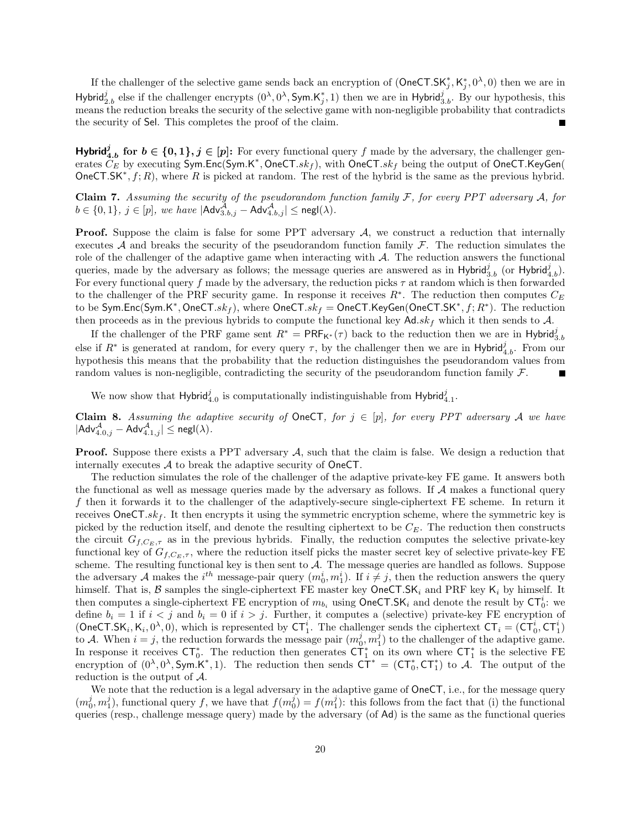If the challenger of the selective game sends back an encryption of  $(OneCT.SK_j^*, K_j^*, O^{\lambda}, 0)$  then we are in Hybrid $_{2,b}^{j}$  else if the challenger encrypts  $(0^{\lambda}, 0^{\lambda}, Sym.K_{j}^{*}, 1)$  then we are in Hybrid $_{3,b}^{j}$ . By our hypothesis, this means the reduction breaks the security of the selective game with non-negligible probability that contradicts the security of Sel. This completes the proof of the claim.

**Hybrid**<sup> $j$ </sup><sub>4,b</sub> for  $b \in \{0,1\}$ ,  $j \in [p]$ : For every functional query f made by the adversary, the challenger generates  $C_E$  by executing Sym.Enc(Sym.K<sup>\*</sup>, OneCT.sk<sub>f</sub>), with OneCT.sk<sub>f</sub> being the output of OneCT.KeyGen( OneCT.SK<sup>\*</sup>,  $f$ ;  $R$ ), where  $R$  is picked at random. The rest of the hybrid is the same as the previous hybrid.

**Claim 7.** Assuming the security of the pseudorandom function family  $F$ , for every PPT adversary  $A$ , for  $b\in\{0,1\},\ j\in[p],\ we\ have\ |\mathsf{Adv}_{3.b,j}^{\mathcal{A}}-\mathsf{Adv}_{4.b,j}^{\mathcal{A}}|\le {\mathsf{negl}}(\lambda).$ 

**Proof.** Suppose the claim is false for some PPT adversary  $A$ , we construct a reduction that internally executes A and breaks the security of the pseudorandom function family  $\mathcal F$ . The reduction simulates the role of the challenger of the adaptive game when interacting with  $A$ . The reduction answers the functional queries, made by the adversary as follows; the message queries are answered as in Hybrid $_{3,b}^j$  (or Hybrid $_{4,b}^j$ ). For every functional query f made by the adversary, the reduction picks  $\tau$  at random which is then forwarded to the challenger of the PRF security game. In response it receives  $R^*$ . The reduction then computes  $C_E$ to be Sym.Enc(Sym.K\*, OneCT. $sk_f$ ), where OneCT. $sk_f =$  OneCT.KeyGen(OneCT.SK\*,  $f; R^*$ ). The reduction then proceeds as in the previous hybrids to compute the functional key  $Ad.sk_f$  which it then sends to  $\mathcal{A}$ .

If the challenger of the PRF game sent  $R^* = \text{PRF}_{K^*}(\tau)$  back to the reduction then we are in Hybrid $_{3,b}^j$ else if  $R^*$  is generated at random, for every query  $\tau$ , by the challenger then we are in Hybrid $_{4,b}^j$ . From our hypothesis this means that the probability that the reduction distinguishes the pseudorandom values from random values is non-negligible, contradicting the security of the pseudorandom function family  $\mathcal{F}$ .  $\blacksquare$ 

We now show that  $H$ ybrid $_{4.0}^{j}$  is computationally indistinguishable from  $H$ ybrid $_{4.1}^{j}$ .

Claim 8. Assuming the adaptive security of OneCT, for  $j \in [p]$ , for every PPT adversary A we have  $|\mathsf{Adv}^{\mathcal{A}}_{4.0,j} - \mathsf{Adv}^{\mathcal{A}}_{4.1,j}| \le \mathsf{negl}(\lambda).$ 

**Proof.** Suppose there exists a PPT adversary  $A$ , such that the claim is false. We design a reduction that internally executes  $A$  to break the adaptive security of OneCT.

The reduction simulates the role of the challenger of the adaptive private-key FE game. It answers both the functional as well as message queries made by the adversary as follows. If  $\mathcal A$  makes a functional query f then it forwards it to the challenger of the adaptively-secure single-ciphertext FE scheme. In return it receives  $\textsf{OneCT}.sk_f$ . It then encrypts it using the symmetric encryption scheme, where the symmetric key is picked by the reduction itself, and denote the resulting ciphertext to be  $C_E$ . The reduction then constructs the circuit  $G_{f,C_E,\tau}$  as in the previous hybrids. Finally, the reduction computes the selective private-key functional key of  $G_{f,C_E,\tau}$ , where the reduction itself picks the master secret key of selective private-key FE scheme. The resulting functional key is then sent to A. The message queries are handled as follows. Suppose the adversary A makes the  $i^{th}$  message-pair query  $(m_0^i, m_1^i)$ . If  $i \neq j$ , then the reduction answers the query himself. That is, B samples the single-ciphertext FE master key  $OneCT.SK_i$  and PRF key  $K_i$  by himself. It then computes a single-ciphertext FE encryption of  $m_{b_i}$  using OneCT.SK<sub>i</sub> and denote the result by  $CT_0^i$ : we define  $b_i = 1$  if  $i < j$  and  $b_i = 0$  if  $i > j$ . Further, it computes a (selective) private-key FE encryption of (OneCT.SK<sub>i</sub>, K<sub>i</sub>, 0<sup> $\lambda$ </sup>, 0), which is represented by CT<sup>i</sup><sub>1</sub>. The challenger sends the ciphertext CT<sub>i</sub> = (CT<sub>0</sub><sup>i</sup></sup>, CT<sup>i</sup><sub>1</sub>) to A. When  $i = j$ , the reduction forwards the message pair  $(m_0^j, m_1^j)$  to the challenger of the adaptive game. In response it receives  $CT_0^*$ . The reduction then generates  $CT_1^*$  on its own where  $CT_1^*$  is the selective FE encryption of  $(0^{\lambda}, 0^{\lambda}, \text{Sym.K}^*, 1)$ . The reduction then sends  $\overline{\text{CT}}^* = (\text{CT}_0^*, \text{CT}_1^*)$  to A. The output of the reduction is the output of A.

We note that the reduction is a legal adversary in the adaptive game of  $OneCT$ , i.e., for the message query  $(m_0^j, m_1^j)$ , functional query f, we have that  $f(m_0^j) = f(m_1^j)$ : this follows from the fact that (i) the functional queries (resp., challenge message query) made by the adversary (of Ad) is the same as the functional queries